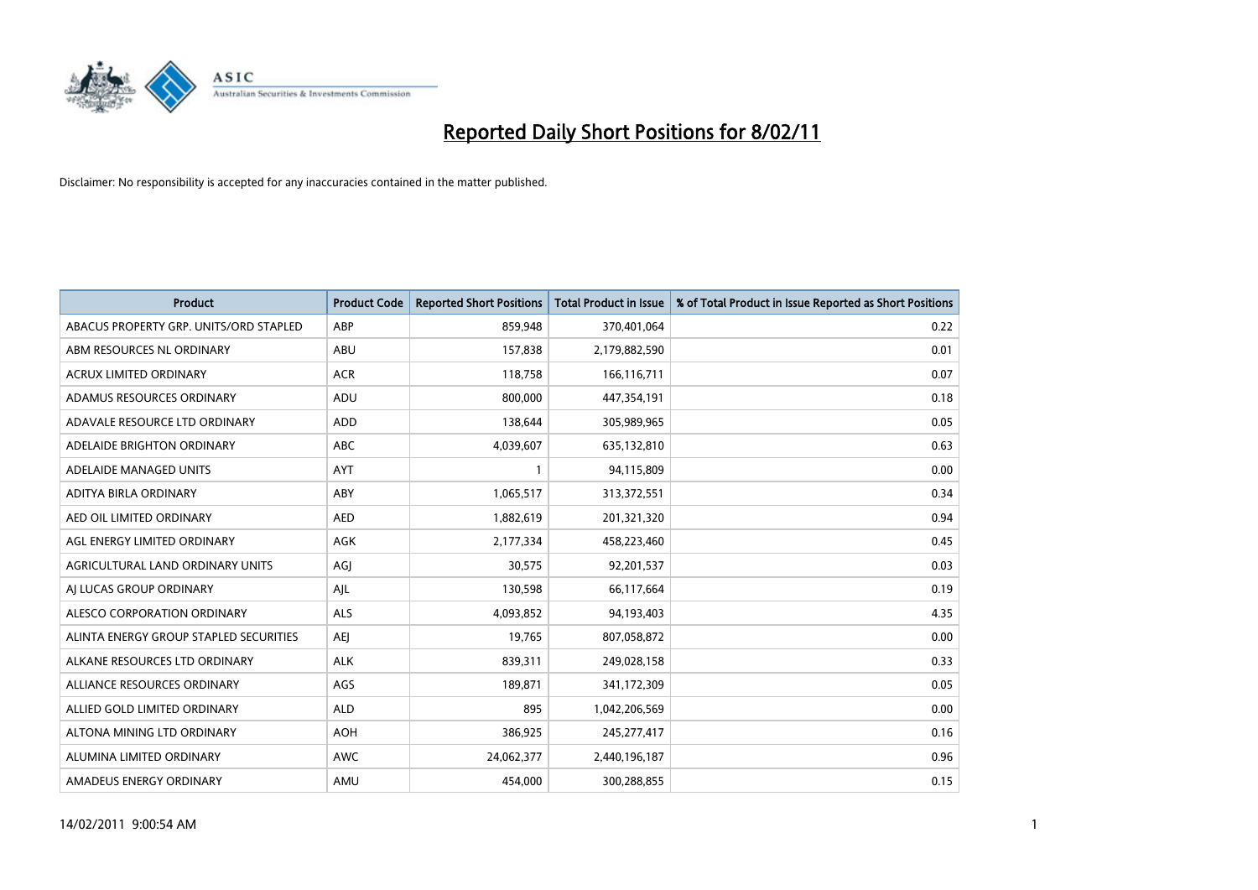

| <b>Product</b>                         | <b>Product Code</b> | <b>Reported Short Positions</b> | <b>Total Product in Issue</b> | % of Total Product in Issue Reported as Short Positions |
|----------------------------------------|---------------------|---------------------------------|-------------------------------|---------------------------------------------------------|
| ABACUS PROPERTY GRP. UNITS/ORD STAPLED | ABP                 | 859,948                         | 370,401,064                   | 0.22                                                    |
| ABM RESOURCES NL ORDINARY              | <b>ABU</b>          | 157,838                         | 2,179,882,590                 | 0.01                                                    |
| <b>ACRUX LIMITED ORDINARY</b>          | <b>ACR</b>          | 118,758                         | 166,116,711                   | 0.07                                                    |
| ADAMUS RESOURCES ORDINARY              | ADU                 | 800,000                         | 447,354,191                   | 0.18                                                    |
| ADAVALE RESOURCE LTD ORDINARY          | <b>ADD</b>          | 138,644                         | 305,989,965                   | 0.05                                                    |
| ADELAIDE BRIGHTON ORDINARY             | <b>ABC</b>          | 4,039,607                       | 635,132,810                   | 0.63                                                    |
| ADELAIDE MANAGED UNITS                 | <b>AYT</b>          |                                 | 94,115,809                    | 0.00                                                    |
| ADITYA BIRLA ORDINARY                  | ABY                 | 1,065,517                       | 313,372,551                   | 0.34                                                    |
| AED OIL LIMITED ORDINARY               | <b>AED</b>          | 1,882,619                       | 201,321,320                   | 0.94                                                    |
| AGL ENERGY LIMITED ORDINARY            | <b>AGK</b>          | 2,177,334                       | 458,223,460                   | 0.45                                                    |
| AGRICULTURAL LAND ORDINARY UNITS       | AGJ                 | 30,575                          | 92,201,537                    | 0.03                                                    |
| AI LUCAS GROUP ORDINARY                | AJL                 | 130,598                         | 66,117,664                    | 0.19                                                    |
| ALESCO CORPORATION ORDINARY            | <b>ALS</b>          | 4,093,852                       | 94,193,403                    | 4.35                                                    |
| ALINTA ENERGY GROUP STAPLED SECURITIES | <b>AEI</b>          | 19.765                          | 807,058,872                   | 0.00                                                    |
| ALKANE RESOURCES LTD ORDINARY          | <b>ALK</b>          | 839,311                         | 249,028,158                   | 0.33                                                    |
| ALLIANCE RESOURCES ORDINARY            | AGS                 | 189,871                         | 341,172,309                   | 0.05                                                    |
| ALLIED GOLD LIMITED ORDINARY           | <b>ALD</b>          | 895                             | 1,042,206,569                 | 0.00                                                    |
| ALTONA MINING LTD ORDINARY             | <b>AOH</b>          | 386,925                         | 245, 277, 417                 | 0.16                                                    |
| ALUMINA LIMITED ORDINARY               | <b>AWC</b>          | 24,062,377                      | 2,440,196,187                 | 0.96                                                    |
| AMADEUS ENERGY ORDINARY                | AMU                 | 454.000                         | 300,288,855                   | 0.15                                                    |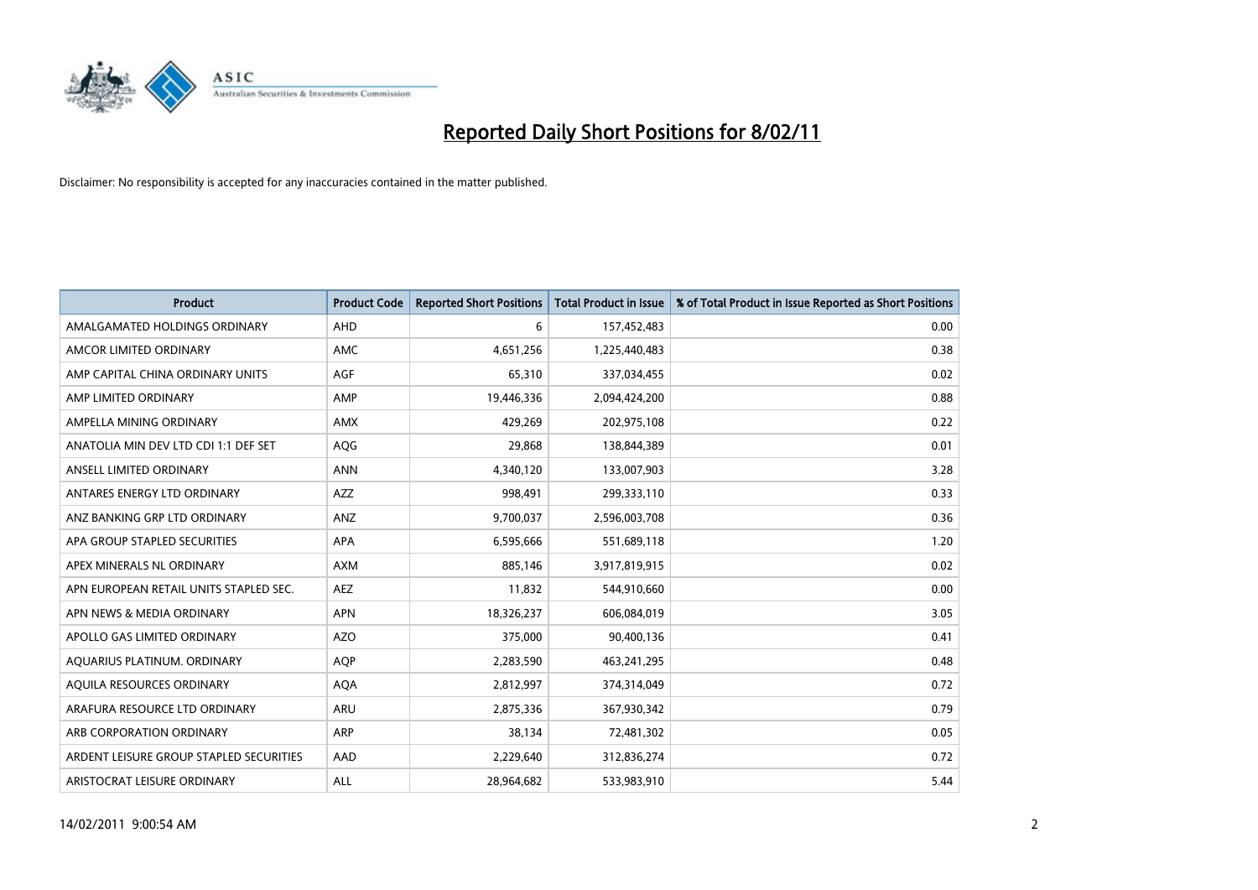

| <b>Product</b>                          | <b>Product Code</b> | <b>Reported Short Positions</b> | <b>Total Product in Issue</b> | % of Total Product in Issue Reported as Short Positions |
|-----------------------------------------|---------------------|---------------------------------|-------------------------------|---------------------------------------------------------|
| AMALGAMATED HOLDINGS ORDINARY           | AHD                 | 6                               | 157,452,483                   | 0.00                                                    |
| AMCOR LIMITED ORDINARY                  | <b>AMC</b>          | 4,651,256                       | 1,225,440,483                 | 0.38                                                    |
| AMP CAPITAL CHINA ORDINARY UNITS        | <b>AGF</b>          | 65,310                          | 337,034,455                   | 0.02                                                    |
| AMP LIMITED ORDINARY                    | AMP                 | 19,446,336                      | 2,094,424,200                 | 0.88                                                    |
| AMPELLA MINING ORDINARY                 | <b>AMX</b>          | 429.269                         | 202,975,108                   | 0.22                                                    |
| ANATOLIA MIN DEV LTD CDI 1:1 DEF SET    | AQG                 | 29,868                          | 138,844,389                   | 0.01                                                    |
| ANSELL LIMITED ORDINARY                 | <b>ANN</b>          | 4,340,120                       | 133,007,903                   | 3.28                                                    |
| ANTARES ENERGY LTD ORDINARY             | <b>AZZ</b>          | 998,491                         | 299,333,110                   | 0.33                                                    |
| ANZ BANKING GRP LTD ORDINARY            | ANZ                 | 9,700,037                       | 2,596,003,708                 | 0.36                                                    |
| APA GROUP STAPLED SECURITIES            | <b>APA</b>          | 6,595,666                       | 551,689,118                   | 1.20                                                    |
| APEX MINERALS NL ORDINARY               | <b>AXM</b>          | 885,146                         | 3,917,819,915                 | 0.02                                                    |
| APN EUROPEAN RETAIL UNITS STAPLED SEC.  | <b>AEZ</b>          | 11,832                          | 544,910,660                   | 0.00                                                    |
| APN NEWS & MEDIA ORDINARY               | <b>APN</b>          | 18,326,237                      | 606,084,019                   | 3.05                                                    |
| APOLLO GAS LIMITED ORDINARY             | <b>AZO</b>          | 375.000                         | 90,400,136                    | 0.41                                                    |
| AQUARIUS PLATINUM. ORDINARY             | <b>AOP</b>          | 2,283,590                       | 463,241,295                   | 0.48                                                    |
| AQUILA RESOURCES ORDINARY               | <b>AQA</b>          | 2,812,997                       | 374,314,049                   | 0.72                                                    |
| ARAFURA RESOURCE LTD ORDINARY           | <b>ARU</b>          | 2,875,336                       | 367,930,342                   | 0.79                                                    |
| ARB CORPORATION ORDINARY                | <b>ARP</b>          | 38,134                          | 72,481,302                    | 0.05                                                    |
| ARDENT LEISURE GROUP STAPLED SECURITIES | AAD                 | 2,229,640                       | 312,836,274                   | 0.72                                                    |
| ARISTOCRAT LEISURE ORDINARY             | <b>ALL</b>          | 28.964.682                      | 533,983,910                   | 5.44                                                    |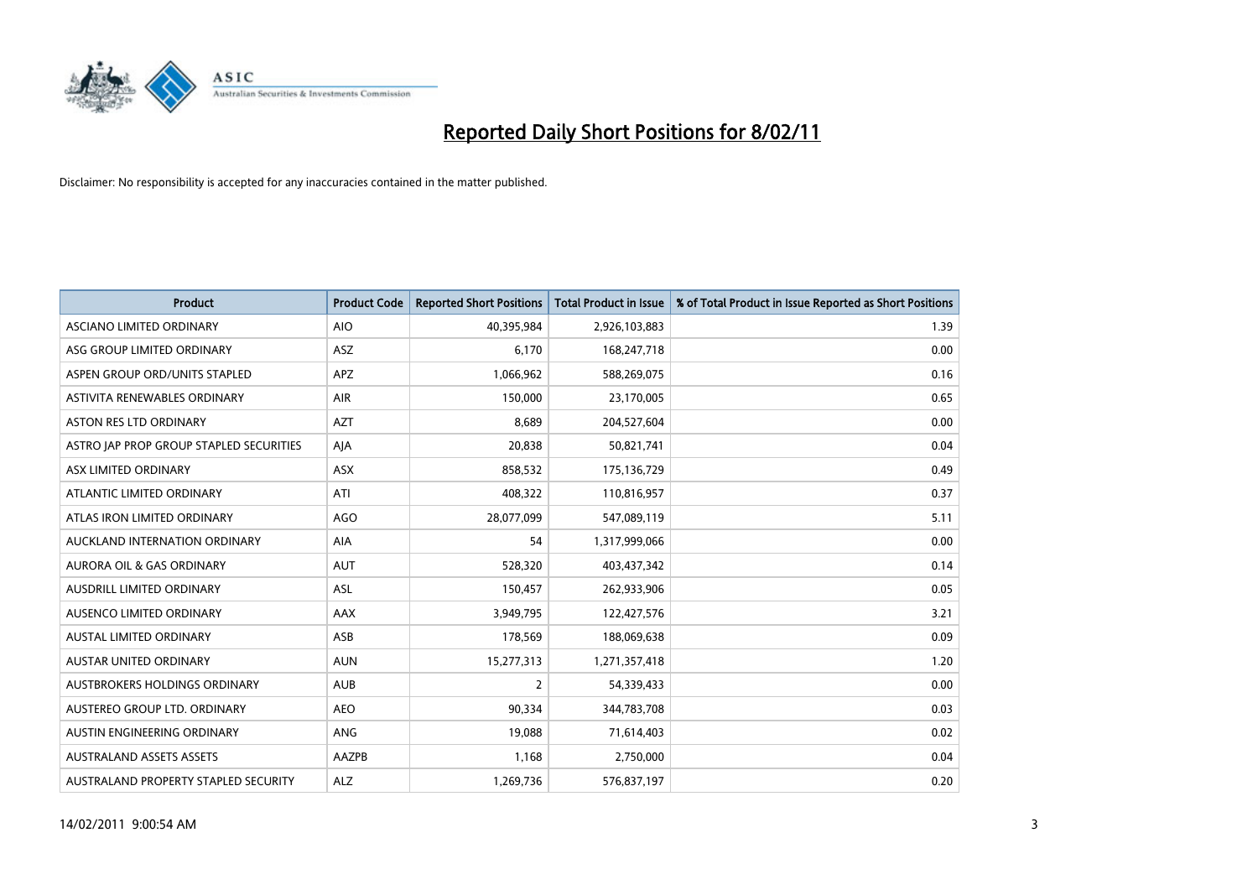

| <b>Product</b>                          | <b>Product Code</b> | <b>Reported Short Positions</b> | Total Product in Issue | % of Total Product in Issue Reported as Short Positions |
|-----------------------------------------|---------------------|---------------------------------|------------------------|---------------------------------------------------------|
| <b>ASCIANO LIMITED ORDINARY</b>         | <b>AIO</b>          | 40,395,984                      | 2,926,103,883          | 1.39                                                    |
| ASG GROUP LIMITED ORDINARY              | <b>ASZ</b>          | 6,170                           | 168,247,718            | 0.00                                                    |
| ASPEN GROUP ORD/UNITS STAPLED           | <b>APZ</b>          | 1,066,962                       | 588,269,075            | 0.16                                                    |
| ASTIVITA RENEWABLES ORDINARY            | AIR                 | 150,000                         | 23,170,005             | 0.65                                                    |
| <b>ASTON RES LTD ORDINARY</b>           | <b>AZT</b>          | 8.689                           | 204,527,604            | 0.00                                                    |
| ASTRO JAP PROP GROUP STAPLED SECURITIES | AJA                 | 20,838                          | 50,821,741             | 0.04                                                    |
| ASX LIMITED ORDINARY                    | <b>ASX</b>          | 858,532                         | 175,136,729            | 0.49                                                    |
| ATLANTIC LIMITED ORDINARY               | ATI                 | 408,322                         | 110,816,957            | 0.37                                                    |
| ATLAS IRON LIMITED ORDINARY             | <b>AGO</b>          | 28,077,099                      | 547,089,119            | 5.11                                                    |
| AUCKLAND INTERNATION ORDINARY           | <b>AIA</b>          | 54                              | 1,317,999,066          | 0.00                                                    |
| <b>AURORA OIL &amp; GAS ORDINARY</b>    | <b>AUT</b>          | 528,320                         | 403,437,342            | 0.14                                                    |
| <b>AUSDRILL LIMITED ORDINARY</b>        | ASL                 | 150,457                         | 262,933,906            | 0.05                                                    |
| AUSENCO LIMITED ORDINARY                | <b>AAX</b>          | 3,949,795                       | 122,427,576            | 3.21                                                    |
| <b>AUSTAL LIMITED ORDINARY</b>          | ASB                 | 178,569                         | 188,069,638            | 0.09                                                    |
| AUSTAR UNITED ORDINARY                  | <b>AUN</b>          | 15,277,313                      | 1,271,357,418          | 1.20                                                    |
| AUSTBROKERS HOLDINGS ORDINARY           | <b>AUB</b>          | 2                               | 54,339,433             | 0.00                                                    |
| AUSTEREO GROUP LTD. ORDINARY            | <b>AEO</b>          | 90,334                          | 344,783,708            | 0.03                                                    |
| AUSTIN ENGINEERING ORDINARY             | ANG                 | 19,088                          | 71,614,403             | 0.02                                                    |
| <b>AUSTRALAND ASSETS ASSETS</b>         | <b>AAZPB</b>        | 1,168                           | 2,750,000              | 0.04                                                    |
| AUSTRALAND PROPERTY STAPLED SECURITY    | <b>ALZ</b>          | 1,269,736                       | 576,837,197            | 0.20                                                    |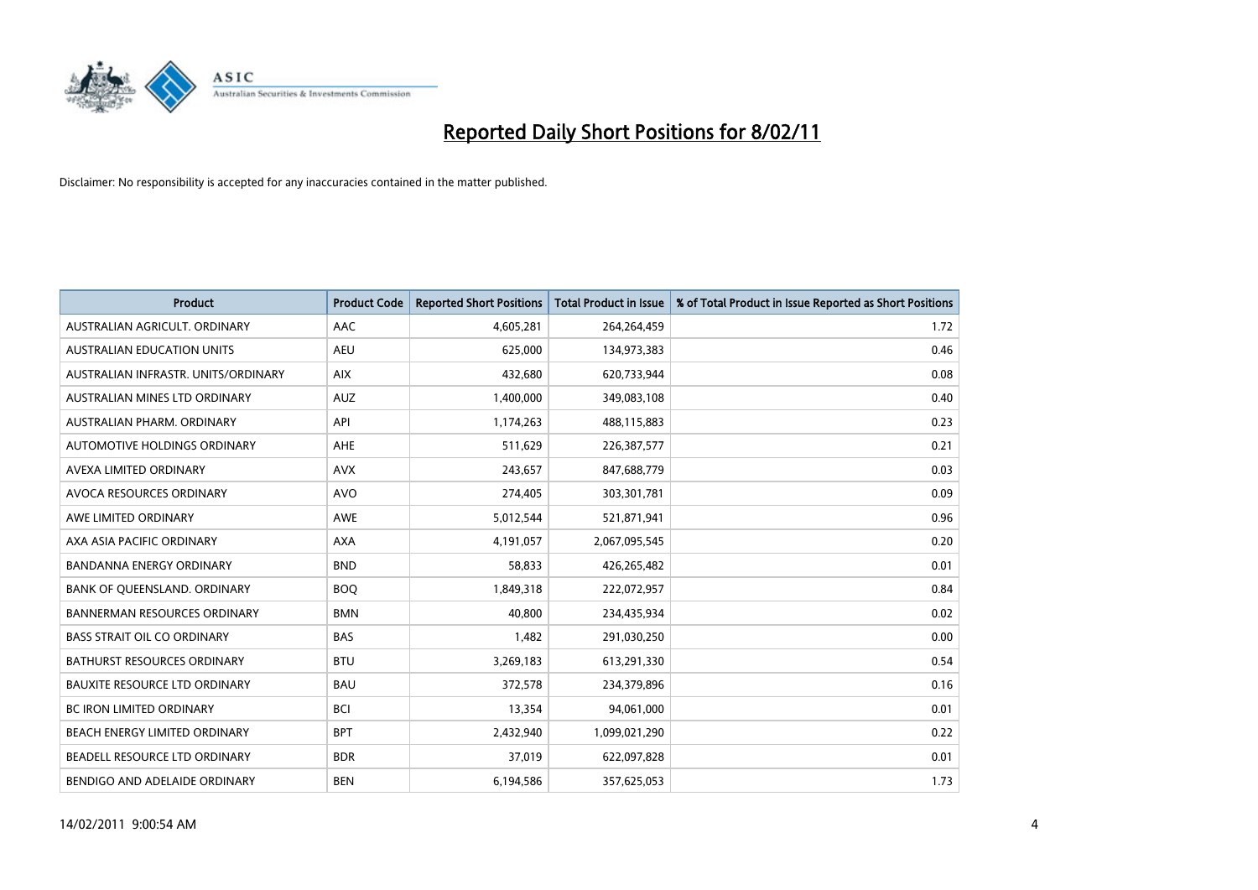

| <b>Product</b>                       | <b>Product Code</b> | <b>Reported Short Positions</b> | Total Product in Issue | % of Total Product in Issue Reported as Short Positions |
|--------------------------------------|---------------------|---------------------------------|------------------------|---------------------------------------------------------|
| AUSTRALIAN AGRICULT, ORDINARY        | AAC                 | 4,605,281                       | 264,264,459            | 1.72                                                    |
| <b>AUSTRALIAN EDUCATION UNITS</b>    | <b>AEU</b>          | 625,000                         | 134,973,383            | 0.46                                                    |
| AUSTRALIAN INFRASTR, UNITS/ORDINARY  | <b>AIX</b>          | 432,680                         | 620,733,944            | 0.08                                                    |
| AUSTRALIAN MINES LTD ORDINARY        | <b>AUZ</b>          | 1,400,000                       | 349,083,108            | 0.40                                                    |
| AUSTRALIAN PHARM, ORDINARY           | API                 | 1,174,263                       | 488,115,883            | 0.23                                                    |
| <b>AUTOMOTIVE HOLDINGS ORDINARY</b>  | <b>AHE</b>          | 511,629                         | 226,387,577            | 0.21                                                    |
| AVEXA LIMITED ORDINARY               | <b>AVX</b>          | 243,657                         | 847,688,779            | 0.03                                                    |
| AVOCA RESOURCES ORDINARY             | <b>AVO</b>          | 274,405                         | 303,301,781            | 0.09                                                    |
| AWE LIMITED ORDINARY                 | <b>AWE</b>          | 5,012,544                       | 521,871,941            | 0.96                                                    |
| AXA ASIA PACIFIC ORDINARY            | <b>AXA</b>          | 4,191,057                       | 2,067,095,545          | 0.20                                                    |
| <b>BANDANNA ENERGY ORDINARY</b>      | <b>BND</b>          | 58,833                          | 426,265,482            | 0.01                                                    |
| BANK OF QUEENSLAND. ORDINARY         | <b>BOQ</b>          | 1,849,318                       | 222,072,957            | 0.84                                                    |
| <b>BANNERMAN RESOURCES ORDINARY</b>  | <b>BMN</b>          | 40.800                          | 234,435,934            | 0.02                                                    |
| <b>BASS STRAIT OIL CO ORDINARY</b>   | <b>BAS</b>          | 1,482                           | 291,030,250            | 0.00                                                    |
| <b>BATHURST RESOURCES ORDINARY</b>   | <b>BTU</b>          | 3,269,183                       | 613,291,330            | 0.54                                                    |
| <b>BAUXITE RESOURCE LTD ORDINARY</b> | <b>BAU</b>          | 372,578                         | 234,379,896            | 0.16                                                    |
| <b>BC IRON LIMITED ORDINARY</b>      | <b>BCI</b>          | 13,354                          | 94,061,000             | 0.01                                                    |
| BEACH ENERGY LIMITED ORDINARY        | <b>BPT</b>          | 2,432,940                       | 1,099,021,290          | 0.22                                                    |
| BEADELL RESOURCE LTD ORDINARY        | <b>BDR</b>          | 37,019                          | 622,097,828            | 0.01                                                    |
| BENDIGO AND ADELAIDE ORDINARY        | <b>BEN</b>          | 6,194,586                       | 357,625,053            | 1.73                                                    |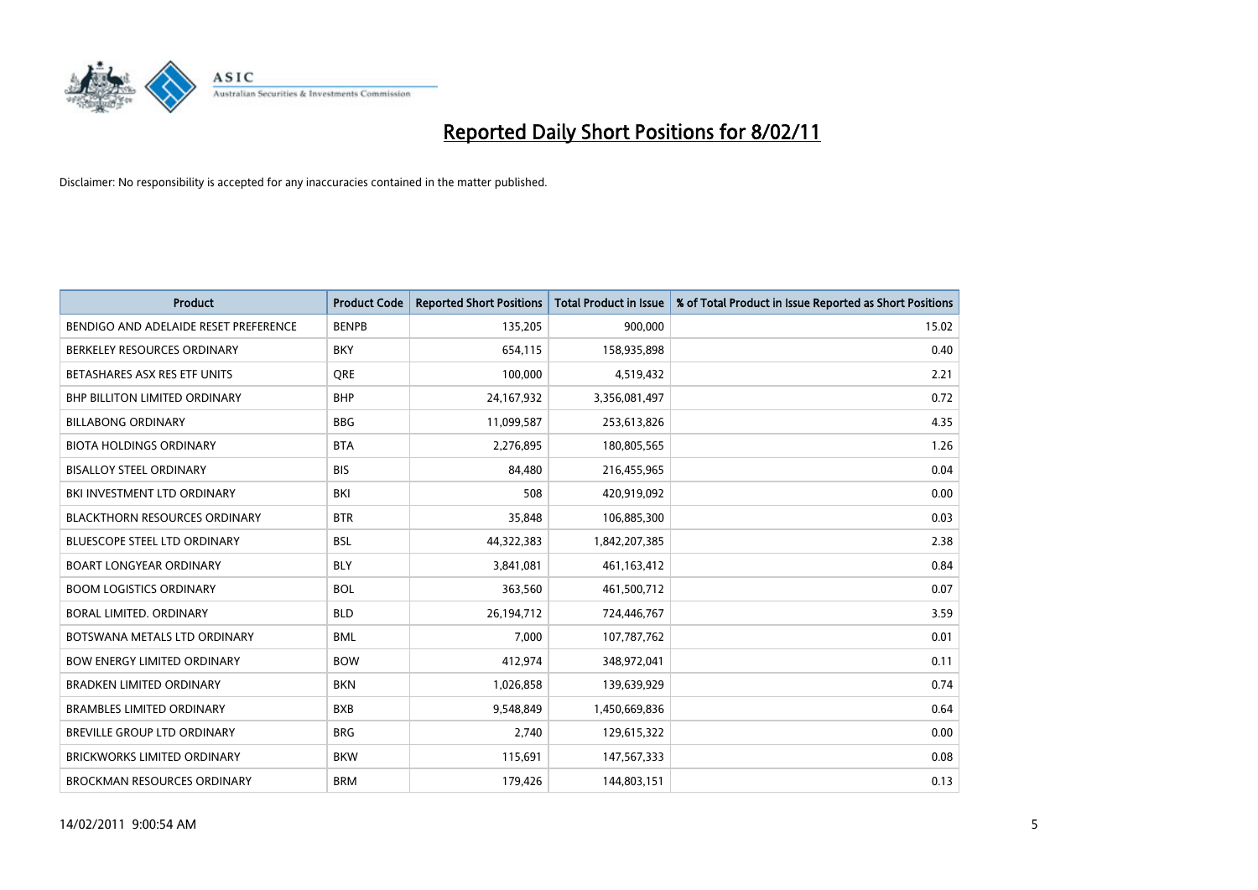

| Product                               | <b>Product Code</b> | <b>Reported Short Positions</b> | Total Product in Issue | % of Total Product in Issue Reported as Short Positions |
|---------------------------------------|---------------------|---------------------------------|------------------------|---------------------------------------------------------|
| BENDIGO AND ADELAIDE RESET PREFERENCE | <b>BENPB</b>        | 135,205                         | 900,000                | 15.02                                                   |
| BERKELEY RESOURCES ORDINARY           | <b>BKY</b>          | 654,115                         | 158,935,898            | 0.40                                                    |
| BETASHARES ASX RES ETF UNITS          | <b>ORE</b>          | 100,000                         | 4,519,432              | 2.21                                                    |
| BHP BILLITON LIMITED ORDINARY         | <b>BHP</b>          | 24,167,932                      | 3,356,081,497          | 0.72                                                    |
| <b>BILLABONG ORDINARY</b>             | <b>BBG</b>          | 11,099,587                      | 253,613,826            | 4.35                                                    |
| <b>BIOTA HOLDINGS ORDINARY</b>        | <b>BTA</b>          | 2,276,895                       | 180,805,565            | 1.26                                                    |
| <b>BISALLOY STEEL ORDINARY</b>        | <b>BIS</b>          | 84,480                          | 216,455,965            | 0.04                                                    |
| BKI INVESTMENT LTD ORDINARY           | BKI                 | 508                             | 420,919,092            | 0.00                                                    |
| <b>BLACKTHORN RESOURCES ORDINARY</b>  | <b>BTR</b>          | 35,848                          | 106,885,300            | 0.03                                                    |
| <b>BLUESCOPE STEEL LTD ORDINARY</b>   | <b>BSL</b>          | 44,322,383                      | 1,842,207,385          | 2.38                                                    |
| <b>BOART LONGYEAR ORDINARY</b>        | <b>BLY</b>          | 3,841,081                       | 461,163,412            | 0.84                                                    |
| <b>BOOM LOGISTICS ORDINARY</b>        | <b>BOL</b>          | 363,560                         | 461,500,712            | 0.07                                                    |
| BORAL LIMITED, ORDINARY               | <b>BLD</b>          | 26,194,712                      | 724,446,767            | 3.59                                                    |
| BOTSWANA METALS LTD ORDINARY          | <b>BML</b>          | 7,000                           | 107,787,762            | 0.01                                                    |
| <b>BOW ENERGY LIMITED ORDINARY</b>    | <b>BOW</b>          | 412,974                         | 348,972,041            | 0.11                                                    |
| <b>BRADKEN LIMITED ORDINARY</b>       | <b>BKN</b>          | 1,026,858                       | 139,639,929            | 0.74                                                    |
| <b>BRAMBLES LIMITED ORDINARY</b>      | <b>BXB</b>          | 9,548,849                       | 1,450,669,836          | 0.64                                                    |
| BREVILLE GROUP LTD ORDINARY           | <b>BRG</b>          | 2,740                           | 129,615,322            | 0.00                                                    |
| <b>BRICKWORKS LIMITED ORDINARY</b>    | <b>BKW</b>          | 115,691                         | 147,567,333            | 0.08                                                    |
| <b>BROCKMAN RESOURCES ORDINARY</b>    | <b>BRM</b>          | 179,426                         | 144,803,151            | 0.13                                                    |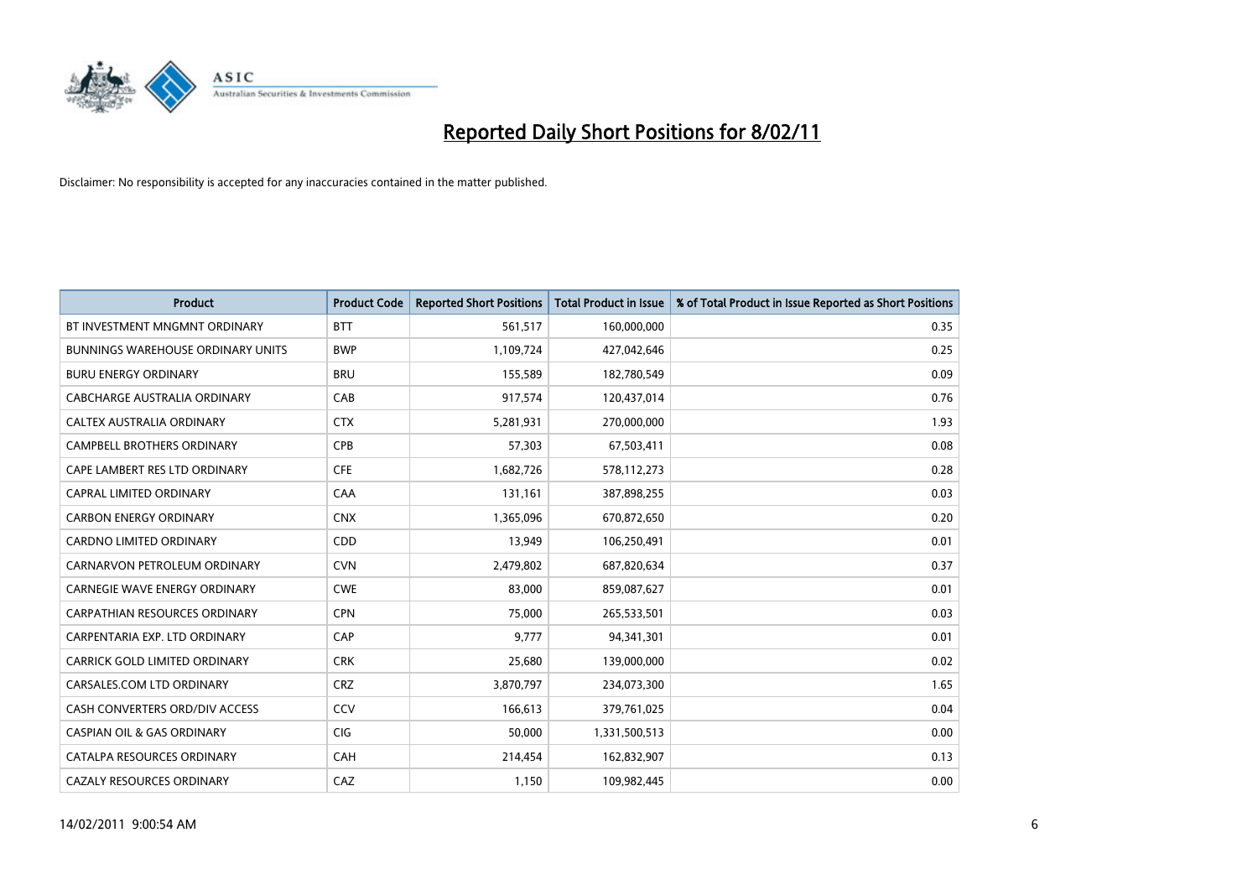

| <b>Product</b>                           | <b>Product Code</b> | <b>Reported Short Positions</b> | <b>Total Product in Issue</b> | % of Total Product in Issue Reported as Short Positions |
|------------------------------------------|---------------------|---------------------------------|-------------------------------|---------------------------------------------------------|
| BT INVESTMENT MNGMNT ORDINARY            | <b>BTT</b>          | 561,517                         | 160,000,000                   | 0.35                                                    |
| <b>BUNNINGS WAREHOUSE ORDINARY UNITS</b> | <b>BWP</b>          | 1,109,724                       | 427,042,646                   | 0.25                                                    |
| <b>BURU ENERGY ORDINARY</b>              | <b>BRU</b>          | 155,589                         | 182,780,549                   | 0.09                                                    |
| CABCHARGE AUSTRALIA ORDINARY             | CAB                 | 917,574                         | 120,437,014                   | 0.76                                                    |
| CALTEX AUSTRALIA ORDINARY                | <b>CTX</b>          | 5,281,931                       | 270,000,000                   | 1.93                                                    |
| <b>CAMPBELL BROTHERS ORDINARY</b>        | CPB                 | 57,303                          | 67,503,411                    | 0.08                                                    |
| CAPE LAMBERT RES LTD ORDINARY            | <b>CFE</b>          | 1,682,726                       | 578,112,273                   | 0.28                                                    |
| <b>CAPRAL LIMITED ORDINARY</b>           | CAA                 | 131,161                         | 387,898,255                   | 0.03                                                    |
| <b>CARBON ENERGY ORDINARY</b>            | <b>CNX</b>          | 1,365,096                       | 670,872,650                   | 0.20                                                    |
| <b>CARDNO LIMITED ORDINARY</b>           | CDD                 | 13,949                          | 106,250,491                   | 0.01                                                    |
| CARNARVON PETROLEUM ORDINARY             | <b>CVN</b>          | 2,479,802                       | 687,820,634                   | 0.37                                                    |
| <b>CARNEGIE WAVE ENERGY ORDINARY</b>     | <b>CWE</b>          | 83,000                          | 859,087,627                   | 0.01                                                    |
| <b>CARPATHIAN RESOURCES ORDINARY</b>     | <b>CPN</b>          | 75,000                          | 265,533,501                   | 0.03                                                    |
| CARPENTARIA EXP. LTD ORDINARY            | CAP                 | 9,777                           | 94,341,301                    | 0.01                                                    |
| CARRICK GOLD LIMITED ORDINARY            | <b>CRK</b>          | 25,680                          | 139,000,000                   | 0.02                                                    |
| CARSALES.COM LTD ORDINARY                | <b>CRZ</b>          | 3,870,797                       | 234,073,300                   | 1.65                                                    |
| CASH CONVERTERS ORD/DIV ACCESS           | <b>CCV</b>          | 166,613                         | 379,761,025                   | 0.04                                                    |
| <b>CASPIAN OIL &amp; GAS ORDINARY</b>    | <b>CIG</b>          | 50,000                          | 1,331,500,513                 | 0.00                                                    |
| CATALPA RESOURCES ORDINARY               | CAH                 | 214,454                         | 162,832,907                   | 0.13                                                    |
| <b>CAZALY RESOURCES ORDINARY</b>         | CAZ                 | 1,150                           | 109,982,445                   | 0.00                                                    |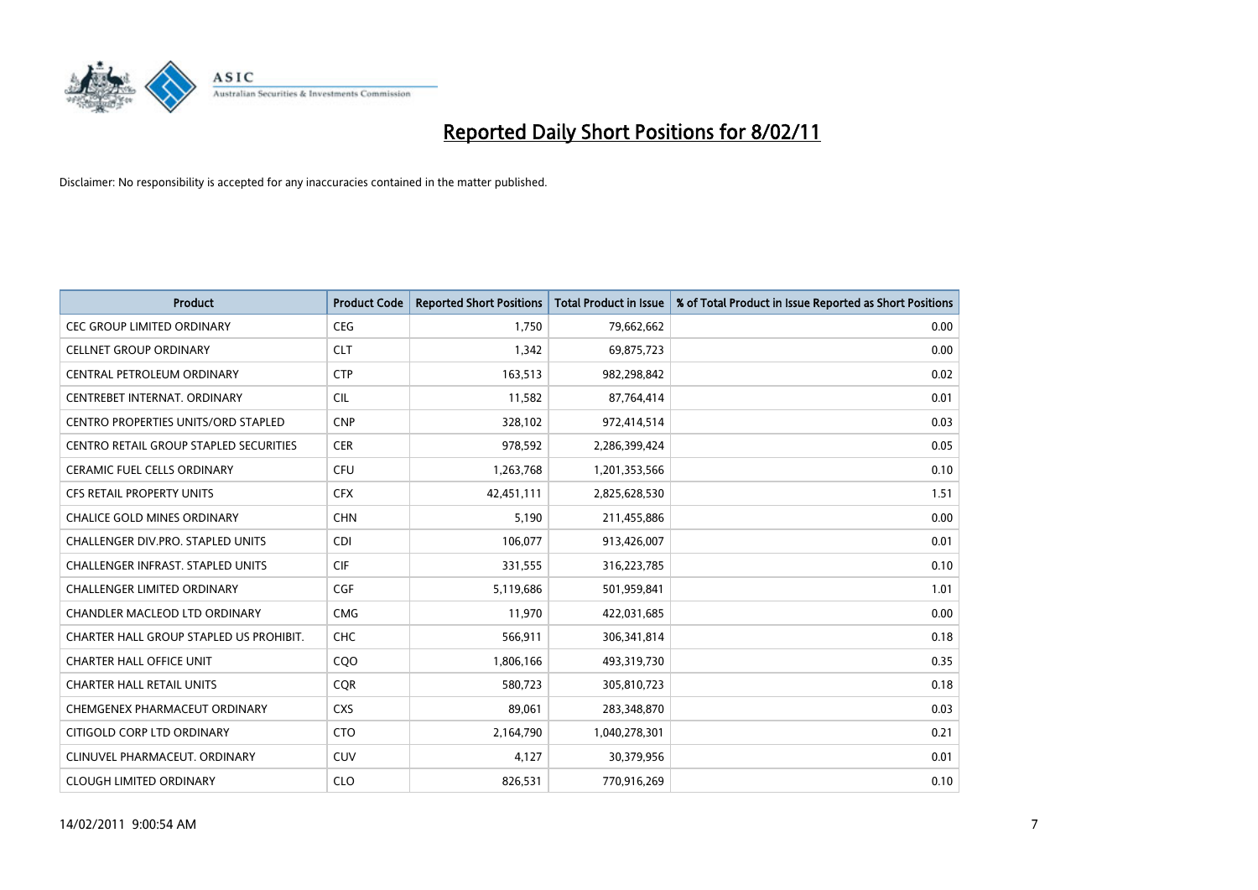

| <b>Product</b>                                | <b>Product Code</b> | <b>Reported Short Positions</b> | Total Product in Issue | % of Total Product in Issue Reported as Short Positions |
|-----------------------------------------------|---------------------|---------------------------------|------------------------|---------------------------------------------------------|
| <b>CEC GROUP LIMITED ORDINARY</b>             | <b>CEG</b>          | 1,750                           | 79,662,662             | 0.00                                                    |
| <b>CELLNET GROUP ORDINARY</b>                 | <b>CLT</b>          | 1,342                           | 69,875,723             | 0.00                                                    |
| CENTRAL PETROLEUM ORDINARY                    | <b>CTP</b>          | 163,513                         | 982,298,842            | 0.02                                                    |
| CENTREBET INTERNAT. ORDINARY                  | <b>CIL</b>          | 11,582                          | 87,764,414             | 0.01                                                    |
| CENTRO PROPERTIES UNITS/ORD STAPLED           | <b>CNP</b>          | 328,102                         | 972,414,514            | 0.03                                                    |
| <b>CENTRO RETAIL GROUP STAPLED SECURITIES</b> | <b>CER</b>          | 978,592                         | 2,286,399,424          | 0.05                                                    |
| <b>CERAMIC FUEL CELLS ORDINARY</b>            | <b>CFU</b>          | 1,263,768                       | 1,201,353,566          | 0.10                                                    |
| <b>CFS RETAIL PROPERTY UNITS</b>              | <b>CFX</b>          | 42,451,111                      | 2,825,628,530          | 1.51                                                    |
| CHALICE GOLD MINES ORDINARY                   | <b>CHN</b>          | 5,190                           | 211,455,886            | 0.00                                                    |
| <b>CHALLENGER DIV.PRO. STAPLED UNITS</b>      | <b>CDI</b>          | 106,077                         | 913,426,007            | 0.01                                                    |
| CHALLENGER INFRAST. STAPLED UNITS             | <b>CIF</b>          | 331,555                         | 316,223,785            | 0.10                                                    |
| <b>CHALLENGER LIMITED ORDINARY</b>            | <b>CGF</b>          | 5,119,686                       | 501,959,841            | 1.01                                                    |
| <b>CHANDLER MACLEOD LTD ORDINARY</b>          | <b>CMG</b>          | 11,970                          | 422,031,685            | 0.00                                                    |
| CHARTER HALL GROUP STAPLED US PROHIBIT.       | <b>CHC</b>          | 566,911                         | 306,341,814            | 0.18                                                    |
| <b>CHARTER HALL OFFICE UNIT</b>               | COO                 | 1,806,166                       | 493,319,730            | 0.35                                                    |
| CHARTER HALL RETAIL UNITS                     | <b>COR</b>          | 580,723                         | 305,810,723            | 0.18                                                    |
| CHEMGENEX PHARMACEUT ORDINARY                 | <b>CXS</b>          | 89,061                          | 283,348,870            | 0.03                                                    |
| CITIGOLD CORP LTD ORDINARY                    | <b>CTO</b>          | 2,164,790                       | 1,040,278,301          | 0.21                                                    |
| CLINUVEL PHARMACEUT, ORDINARY                 | <b>CUV</b>          | 4,127                           | 30,379,956             | 0.01                                                    |
| <b>CLOUGH LIMITED ORDINARY</b>                | <b>CLO</b>          | 826,531                         | 770,916,269            | 0.10                                                    |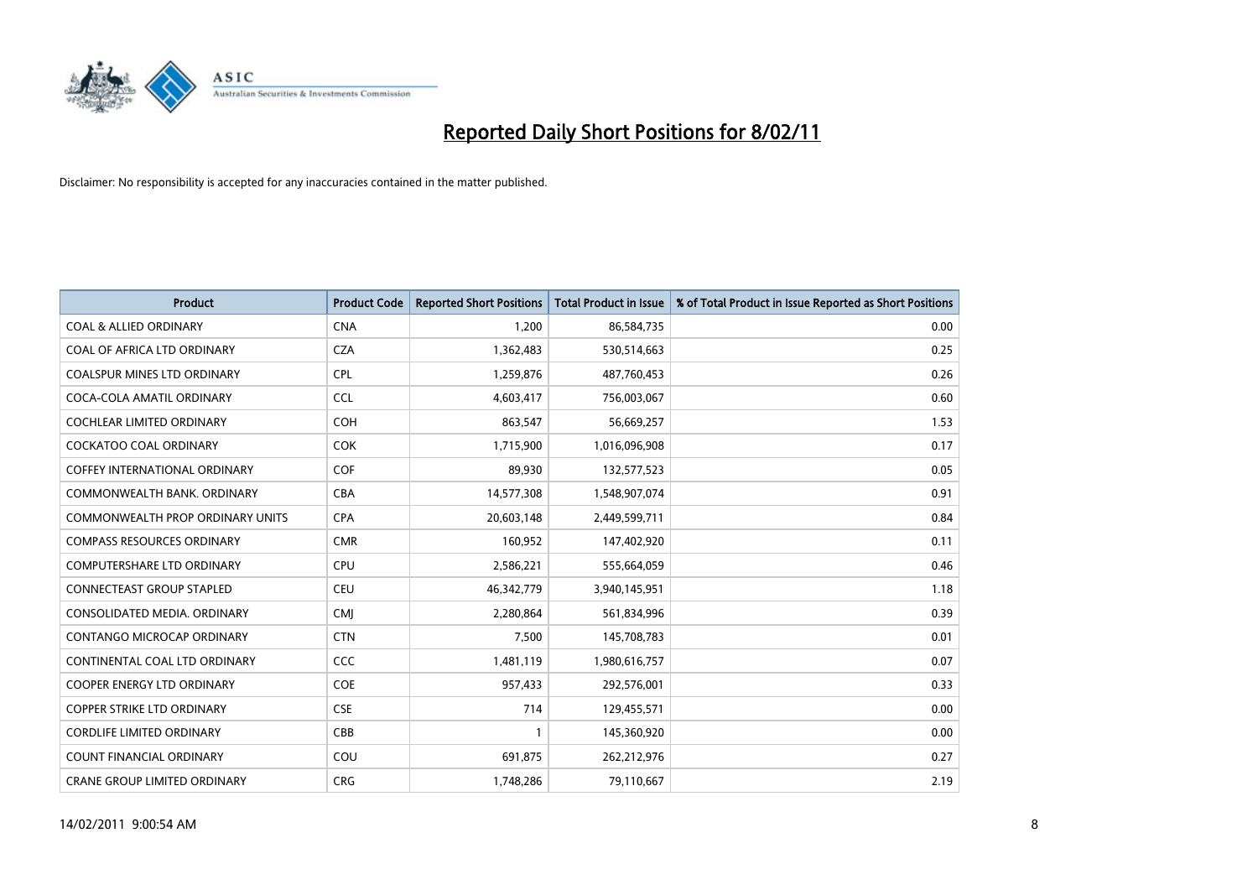

| <b>Product</b>                       | <b>Product Code</b> | <b>Reported Short Positions</b> | Total Product in Issue | % of Total Product in Issue Reported as Short Positions |
|--------------------------------------|---------------------|---------------------------------|------------------------|---------------------------------------------------------|
| <b>COAL &amp; ALLIED ORDINARY</b>    | <b>CNA</b>          | 1,200                           | 86,584,735             | 0.00                                                    |
| COAL OF AFRICA LTD ORDINARY          | <b>CZA</b>          | 1,362,483                       | 530,514,663            | 0.25                                                    |
| <b>COALSPUR MINES LTD ORDINARY</b>   | <b>CPL</b>          | 1,259,876                       | 487,760,453            | 0.26                                                    |
| COCA-COLA AMATIL ORDINARY            | <b>CCL</b>          | 4,603,417                       | 756,003,067            | 0.60                                                    |
| <b>COCHLEAR LIMITED ORDINARY</b>     | <b>COH</b>          | 863,547                         | 56,669,257             | 1.53                                                    |
| <b>COCKATOO COAL ORDINARY</b>        | COK                 | 1,715,900                       | 1,016,096,908          | 0.17                                                    |
| <b>COFFEY INTERNATIONAL ORDINARY</b> | <b>COF</b>          | 89.930                          | 132,577,523            | 0.05                                                    |
| COMMONWEALTH BANK, ORDINARY          | <b>CBA</b>          | 14,577,308                      | 1,548,907,074          | 0.91                                                    |
| COMMONWEALTH PROP ORDINARY UNITS     | <b>CPA</b>          | 20,603,148                      | 2,449,599,711          | 0.84                                                    |
| <b>COMPASS RESOURCES ORDINARY</b>    | <b>CMR</b>          | 160,952                         | 147,402,920            | 0.11                                                    |
| <b>COMPUTERSHARE LTD ORDINARY</b>    | <b>CPU</b>          | 2,586,221                       | 555,664,059            | 0.46                                                    |
| CONNECTEAST GROUP STAPLED            | <b>CEU</b>          | 46,342,779                      | 3,940,145,951          | 1.18                                                    |
| CONSOLIDATED MEDIA, ORDINARY         | <b>CMI</b>          | 2,280,864                       | 561,834,996            | 0.39                                                    |
| CONTANGO MICROCAP ORDINARY           | <b>CTN</b>          | 7,500                           | 145,708,783            | 0.01                                                    |
| CONTINENTAL COAL LTD ORDINARY        | <b>CCC</b>          | 1,481,119                       | 1,980,616,757          | 0.07                                                    |
| <b>COOPER ENERGY LTD ORDINARY</b>    | <b>COE</b>          | 957,433                         | 292,576,001            | 0.33                                                    |
| <b>COPPER STRIKE LTD ORDINARY</b>    | <b>CSE</b>          | 714                             | 129,455,571            | 0.00                                                    |
| <b>CORDLIFE LIMITED ORDINARY</b>     | CBB                 |                                 | 145,360,920            | 0.00                                                    |
| <b>COUNT FINANCIAL ORDINARY</b>      | COU                 | 691,875                         | 262,212,976            | 0.27                                                    |
| <b>CRANE GROUP LIMITED ORDINARY</b>  | <b>CRG</b>          | 1,748,286                       | 79,110,667             | 2.19                                                    |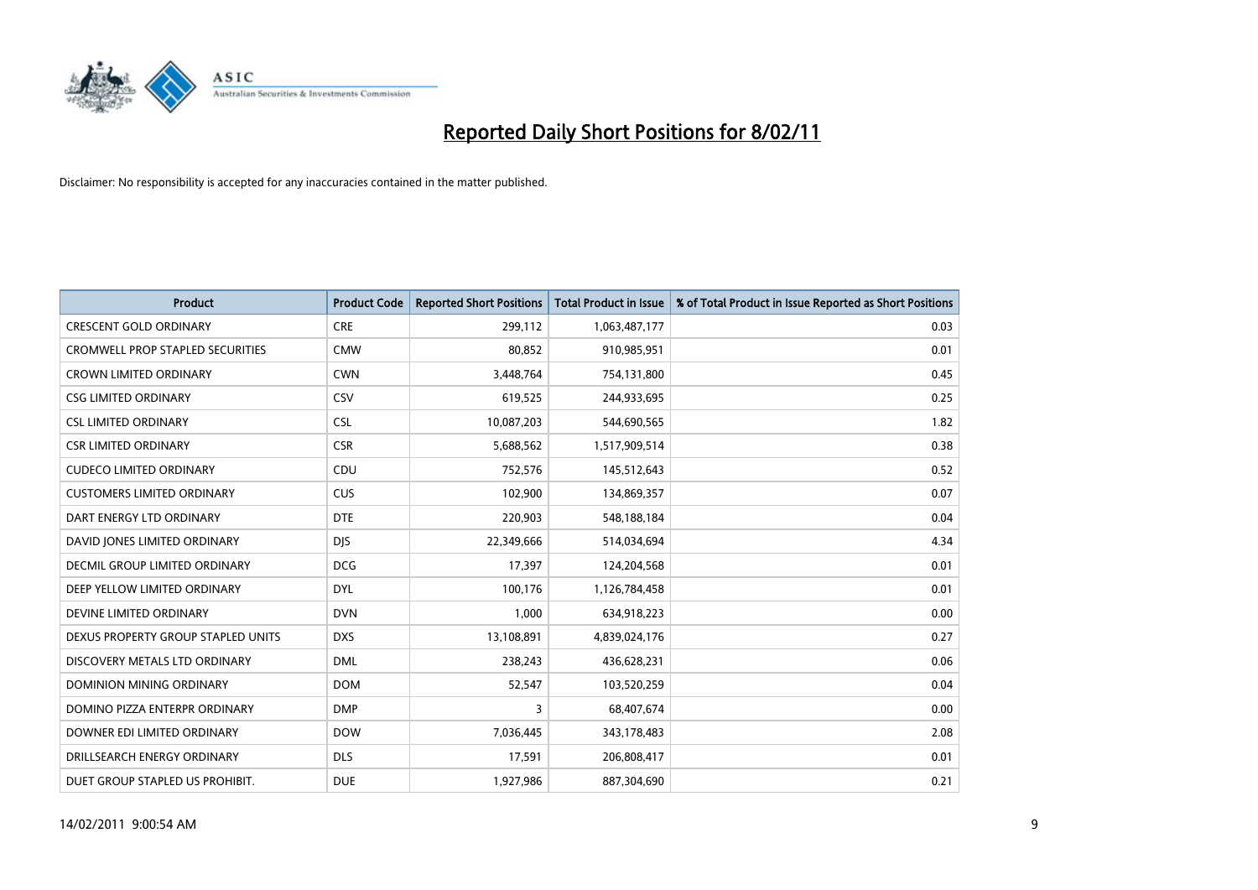

| <b>Product</b>                          | <b>Product Code</b> | <b>Reported Short Positions</b> | Total Product in Issue | % of Total Product in Issue Reported as Short Positions |
|-----------------------------------------|---------------------|---------------------------------|------------------------|---------------------------------------------------------|
| <b>CRESCENT GOLD ORDINARY</b>           | <b>CRE</b>          | 299,112                         | 1,063,487,177          | 0.03                                                    |
| <b>CROMWELL PROP STAPLED SECURITIES</b> | <b>CMW</b>          | 80,852                          | 910,985,951            | 0.01                                                    |
| <b>CROWN LIMITED ORDINARY</b>           | <b>CWN</b>          | 3,448,764                       | 754,131,800            | 0.45                                                    |
| <b>CSG LIMITED ORDINARY</b>             | CSV                 | 619,525                         | 244,933,695            | 0.25                                                    |
| <b>CSL LIMITED ORDINARY</b>             | <b>CSL</b>          | 10,087,203                      | 544,690,565            | 1.82                                                    |
| <b>CSR LIMITED ORDINARY</b>             | <b>CSR</b>          | 5,688,562                       | 1,517,909,514          | 0.38                                                    |
| <b>CUDECO LIMITED ORDINARY</b>          | CDU                 | 752,576                         | 145,512,643            | 0.52                                                    |
| <b>CUSTOMERS LIMITED ORDINARY</b>       | <b>CUS</b>          | 102,900                         | 134,869,357            | 0.07                                                    |
| DART ENERGY LTD ORDINARY                | <b>DTE</b>          | 220,903                         | 548,188,184            | 0.04                                                    |
| DAVID JONES LIMITED ORDINARY            | <b>DJS</b>          | 22,349,666                      | 514,034,694            | 4.34                                                    |
| <b>DECMIL GROUP LIMITED ORDINARY</b>    | <b>DCG</b>          | 17,397                          | 124,204,568            | 0.01                                                    |
| DEEP YELLOW LIMITED ORDINARY            | <b>DYL</b>          | 100,176                         | 1,126,784,458          | 0.01                                                    |
| DEVINE LIMITED ORDINARY                 | <b>DVN</b>          | 1,000                           | 634,918,223            | 0.00                                                    |
| DEXUS PROPERTY GROUP STAPLED UNITS      | <b>DXS</b>          | 13,108,891                      | 4,839,024,176          | 0.27                                                    |
| DISCOVERY METALS LTD ORDINARY           | <b>DML</b>          | 238,243                         | 436,628,231            | 0.06                                                    |
| DOMINION MINING ORDINARY                | <b>DOM</b>          | 52,547                          | 103,520,259            | 0.04                                                    |
| DOMINO PIZZA ENTERPR ORDINARY           | <b>DMP</b>          | 3                               | 68,407,674             | 0.00                                                    |
| DOWNER EDI LIMITED ORDINARY             | <b>DOW</b>          | 7,036,445                       | 343,178,483            | 2.08                                                    |
| DRILLSEARCH ENERGY ORDINARY             | <b>DLS</b>          | 17,591                          | 206,808,417            | 0.01                                                    |
| DUET GROUP STAPLED US PROHIBIT.         | <b>DUE</b>          | 1,927,986                       | 887,304,690            | 0.21                                                    |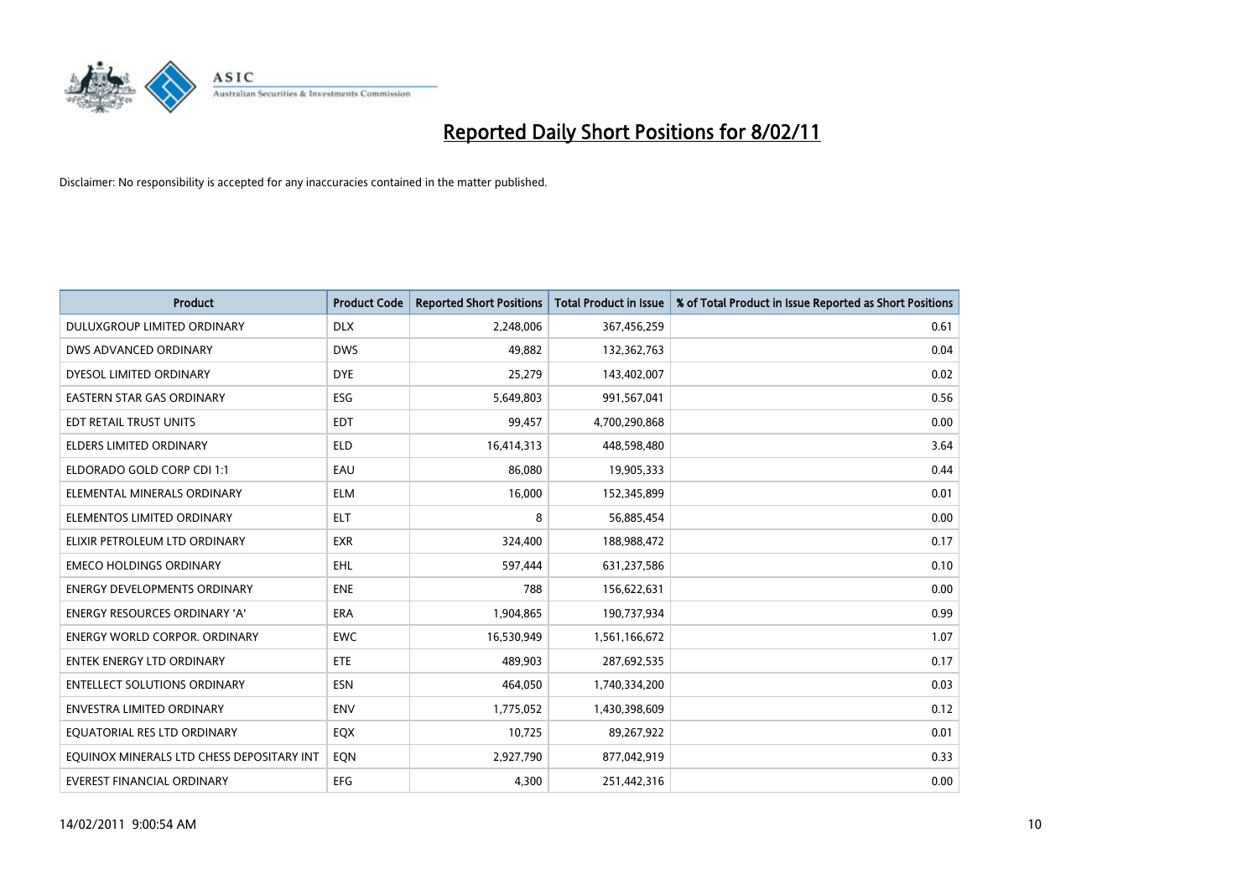

| <b>Product</b>                            | <b>Product Code</b> | <b>Reported Short Positions</b> | <b>Total Product in Issue</b> | % of Total Product in Issue Reported as Short Positions |
|-------------------------------------------|---------------------|---------------------------------|-------------------------------|---------------------------------------------------------|
| DULUXGROUP LIMITED ORDINARY               | <b>DLX</b>          | 2,248,006                       | 367,456,259                   | 0.61                                                    |
| DWS ADVANCED ORDINARY                     | <b>DWS</b>          | 49.882                          | 132,362,763                   | 0.04                                                    |
| DYESOL LIMITED ORDINARY                   | <b>DYE</b>          | 25,279                          | 143,402,007                   | 0.02                                                    |
| EASTERN STAR GAS ORDINARY                 | ESG                 | 5,649,803                       | 991,567,041                   | 0.56                                                    |
| EDT RETAIL TRUST UNITS                    | EDT                 | 99,457                          | 4,700,290,868                 | 0.00                                                    |
| ELDERS LIMITED ORDINARY                   | <b>ELD</b>          | 16,414,313                      | 448,598,480                   | 3.64                                                    |
| ELDORADO GOLD CORP CDI 1:1                | EAU                 | 86.080                          | 19,905,333                    | 0.44                                                    |
| ELEMENTAL MINERALS ORDINARY               | <b>ELM</b>          | 16,000                          | 152,345,899                   | 0.01                                                    |
| ELEMENTOS LIMITED ORDINARY                | <b>ELT</b>          | 8                               | 56,885,454                    | 0.00                                                    |
| ELIXIR PETROLEUM LTD ORDINARY             | <b>EXR</b>          | 324,400                         | 188,988,472                   | 0.17                                                    |
| <b>EMECO HOLDINGS ORDINARY</b>            | <b>EHL</b>          | 597,444                         | 631,237,586                   | 0.10                                                    |
| <b>ENERGY DEVELOPMENTS ORDINARY</b>       | <b>ENE</b>          | 788                             | 156,622,631                   | 0.00                                                    |
| <b>ENERGY RESOURCES ORDINARY 'A'</b>      | <b>ERA</b>          | 1,904,865                       | 190,737,934                   | 0.99                                                    |
| <b>ENERGY WORLD CORPOR, ORDINARY</b>      | <b>EWC</b>          | 16,530,949                      | 1,561,166,672                 | 1.07                                                    |
| <b>ENTEK ENERGY LTD ORDINARY</b>          | ETE                 | 489,903                         | 287,692,535                   | 0.17                                                    |
| <b>ENTELLECT SOLUTIONS ORDINARY</b>       | <b>ESN</b>          | 464,050                         | 1,740,334,200                 | 0.03                                                    |
| <b>ENVESTRA LIMITED ORDINARY</b>          | <b>ENV</b>          | 1,775,052                       | 1,430,398,609                 | 0.12                                                    |
| EQUATORIAL RES LTD ORDINARY               | EQX                 | 10,725                          | 89,267,922                    | 0.01                                                    |
| EQUINOX MINERALS LTD CHESS DEPOSITARY INT | <b>EON</b>          | 2,927,790                       | 877,042,919                   | 0.33                                                    |
| EVEREST FINANCIAL ORDINARY                | <b>EFG</b>          | 4.300                           | 251,442,316                   | 0.00                                                    |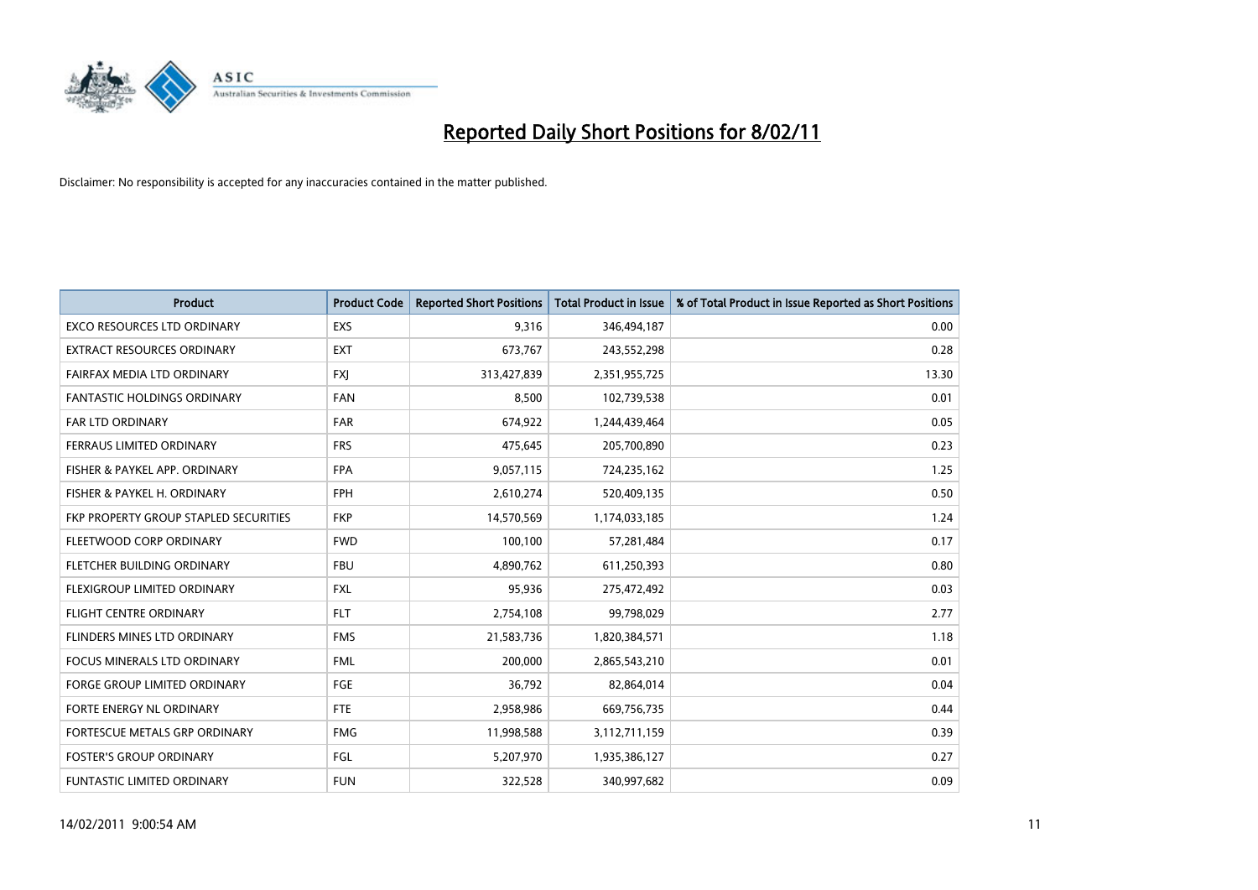

| <b>Product</b>                        | <b>Product Code</b> | <b>Reported Short Positions</b> | Total Product in Issue | % of Total Product in Issue Reported as Short Positions |
|---------------------------------------|---------------------|---------------------------------|------------------------|---------------------------------------------------------|
| <b>EXCO RESOURCES LTD ORDINARY</b>    | EXS                 | 9,316                           | 346,494,187            | 0.00                                                    |
| EXTRACT RESOURCES ORDINARY            | <b>EXT</b>          | 673,767                         | 243,552,298            | 0.28                                                    |
| FAIRFAX MEDIA LTD ORDINARY            | <b>FXJ</b>          | 313,427,839                     | 2,351,955,725          | 13.30                                                   |
| FANTASTIC HOLDINGS ORDINARY           | <b>FAN</b>          | 8,500                           | 102,739,538            | 0.01                                                    |
| <b>FAR LTD ORDINARY</b>               | <b>FAR</b>          | 674,922                         | 1,244,439,464          | 0.05                                                    |
| FERRAUS LIMITED ORDINARY              | <b>FRS</b>          | 475,645                         | 205,700,890            | 0.23                                                    |
| FISHER & PAYKEL APP. ORDINARY         | <b>FPA</b>          | 9,057,115                       | 724,235,162            | 1.25                                                    |
| FISHER & PAYKEL H. ORDINARY           | <b>FPH</b>          | 2,610,274                       | 520,409,135            | 0.50                                                    |
| FKP PROPERTY GROUP STAPLED SECURITIES | <b>FKP</b>          | 14,570,569                      | 1,174,033,185          | 1.24                                                    |
| FLEETWOOD CORP ORDINARY               | <b>FWD</b>          | 100,100                         | 57,281,484             | 0.17                                                    |
| FLETCHER BUILDING ORDINARY            | <b>FBU</b>          | 4,890,762                       | 611,250,393            | 0.80                                                    |
| FLEXIGROUP LIMITED ORDINARY           | <b>FXL</b>          | 95,936                          | 275,472,492            | 0.03                                                    |
| <b>FLIGHT CENTRE ORDINARY</b>         | <b>FLT</b>          | 2,754,108                       | 99,798,029             | 2.77                                                    |
| FLINDERS MINES LTD ORDINARY           | <b>FMS</b>          | 21,583,736                      | 1,820,384,571          | 1.18                                                    |
| <b>FOCUS MINERALS LTD ORDINARY</b>    | <b>FML</b>          | 200,000                         | 2,865,543,210          | 0.01                                                    |
| FORGE GROUP LIMITED ORDINARY          | FGE                 | 36,792                          | 82,864,014             | 0.04                                                    |
| FORTE ENERGY NL ORDINARY              | <b>FTE</b>          | 2,958,986                       | 669,756,735            | 0.44                                                    |
| FORTESCUE METALS GRP ORDINARY         | <b>FMG</b>          | 11,998,588                      | 3,112,711,159          | 0.39                                                    |
| <b>FOSTER'S GROUP ORDINARY</b>        | <b>FGL</b>          | 5,207,970                       | 1,935,386,127          | 0.27                                                    |
| <b>FUNTASTIC LIMITED ORDINARY</b>     | <b>FUN</b>          | 322,528                         | 340,997,682            | 0.09                                                    |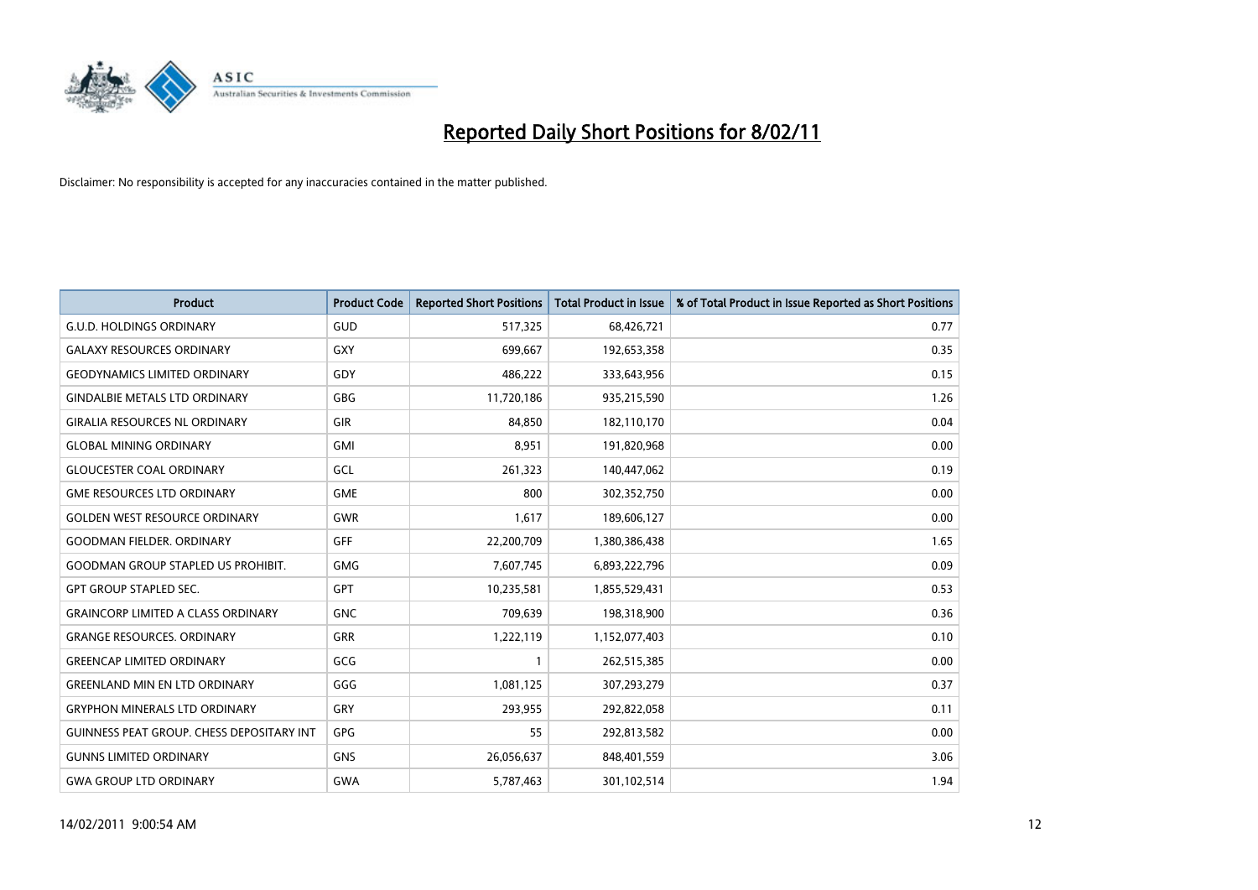

| <b>Product</b>                            | <b>Product Code</b> | <b>Reported Short Positions</b> | Total Product in Issue | % of Total Product in Issue Reported as Short Positions |
|-------------------------------------------|---------------------|---------------------------------|------------------------|---------------------------------------------------------|
| <b>G.U.D. HOLDINGS ORDINARY</b>           | GUD                 | 517,325                         | 68,426,721             | 0.77                                                    |
| <b>GALAXY RESOURCES ORDINARY</b>          | GXY                 | 699,667                         | 192,653,358            | 0.35                                                    |
| <b>GEODYNAMICS LIMITED ORDINARY</b>       | GDY                 | 486,222                         | 333,643,956            | 0.15                                                    |
| <b>GINDALBIE METALS LTD ORDINARY</b>      | GBG                 | 11,720,186                      | 935,215,590            | 1.26                                                    |
| <b>GIRALIA RESOURCES NL ORDINARY</b>      | GIR                 | 84,850                          | 182,110,170            | 0.04                                                    |
| <b>GLOBAL MINING ORDINARY</b>             | <b>GMI</b>          | 8,951                           | 191,820,968            | 0.00                                                    |
| <b>GLOUCESTER COAL ORDINARY</b>           | GCL                 | 261,323                         | 140,447,062            | 0.19                                                    |
| <b>GME RESOURCES LTD ORDINARY</b>         | <b>GME</b>          | 800                             | 302,352,750            | 0.00                                                    |
| <b>GOLDEN WEST RESOURCE ORDINARY</b>      | <b>GWR</b>          | 1,617                           | 189,606,127            | 0.00                                                    |
| <b>GOODMAN FIELDER, ORDINARY</b>          | <b>GFF</b>          | 22,200,709                      | 1,380,386,438          | 1.65                                                    |
| <b>GOODMAN GROUP STAPLED US PROHIBIT.</b> | <b>GMG</b>          | 7,607,745                       | 6,893,222,796          | 0.09                                                    |
| <b>GPT GROUP STAPLED SEC.</b>             | <b>GPT</b>          | 10,235,581                      | 1,855,529,431          | 0.53                                                    |
| <b>GRAINCORP LIMITED A CLASS ORDINARY</b> | <b>GNC</b>          | 709,639                         | 198,318,900            | 0.36                                                    |
| <b>GRANGE RESOURCES, ORDINARY</b>         | <b>GRR</b>          | 1,222,119                       | 1,152,077,403          | 0.10                                                    |
| <b>GREENCAP LIMITED ORDINARY</b>          | GCG                 |                                 | 262,515,385            | 0.00                                                    |
| <b>GREENLAND MIN EN LTD ORDINARY</b>      | GGG                 | 1,081,125                       | 307,293,279            | 0.37                                                    |
| <b>GRYPHON MINERALS LTD ORDINARY</b>      | GRY                 | 293,955                         | 292,822,058            | 0.11                                                    |
| GUINNESS PEAT GROUP. CHESS DEPOSITARY INT | <b>GPG</b>          | 55                              | 292,813,582            | 0.00                                                    |
| <b>GUNNS LIMITED ORDINARY</b>             | <b>GNS</b>          | 26,056,637                      | 848,401,559            | 3.06                                                    |
| <b>GWA GROUP LTD ORDINARY</b>             | GWA                 | 5,787,463                       | 301,102,514            | 1.94                                                    |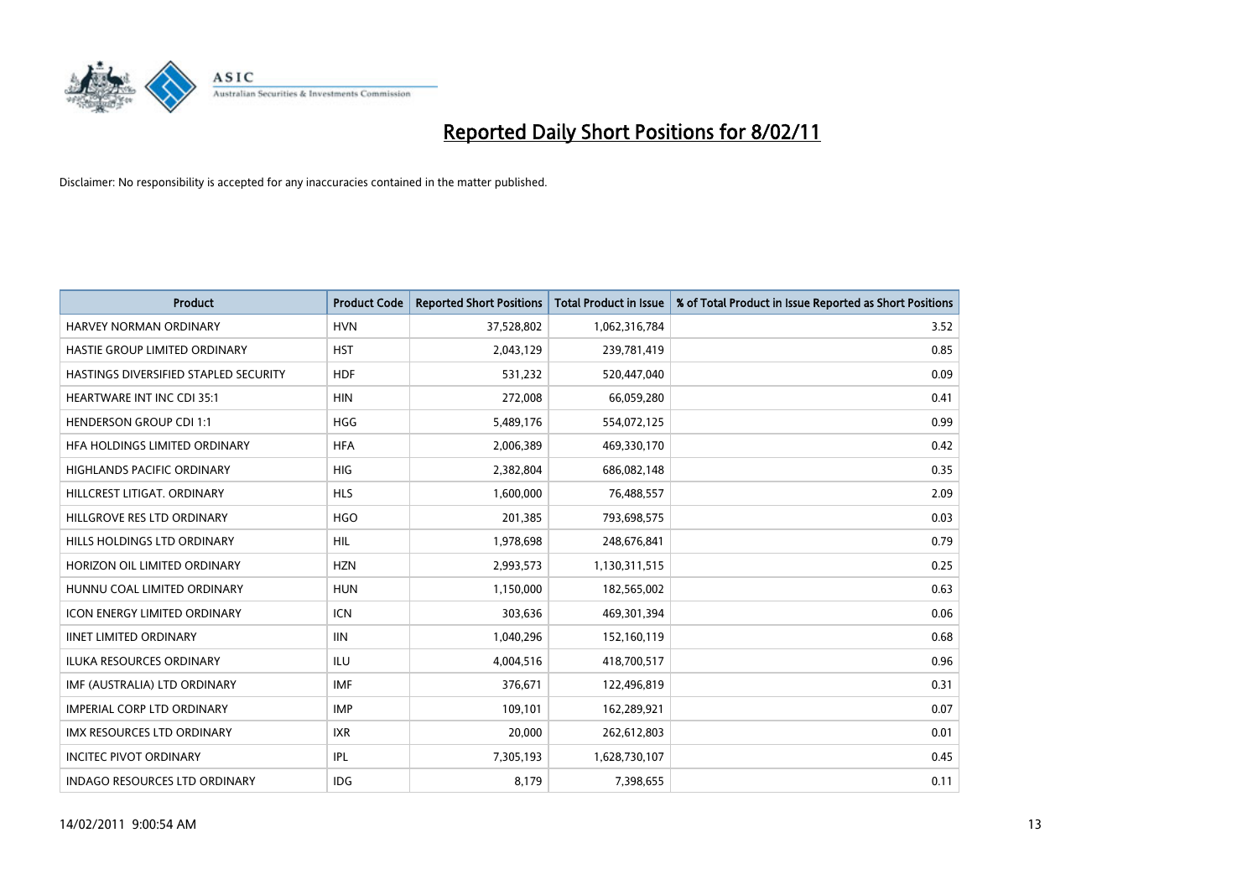

| <b>Product</b>                        | <b>Product Code</b> | <b>Reported Short Positions</b> | Total Product in Issue | % of Total Product in Issue Reported as Short Positions |
|---------------------------------------|---------------------|---------------------------------|------------------------|---------------------------------------------------------|
| <b>HARVEY NORMAN ORDINARY</b>         | <b>HVN</b>          | 37,528,802                      | 1,062,316,784          | 3.52                                                    |
| HASTIE GROUP LIMITED ORDINARY         | <b>HST</b>          | 2,043,129                       | 239,781,419            | 0.85                                                    |
| HASTINGS DIVERSIFIED STAPLED SECURITY | <b>HDF</b>          | 531,232                         | 520,447,040            | 0.09                                                    |
| HEARTWARE INT INC CDI 35:1            | <b>HIN</b>          | 272,008                         | 66,059,280             | 0.41                                                    |
| <b>HENDERSON GROUP CDI 1:1</b>        | <b>HGG</b>          | 5,489,176                       | 554,072,125            | 0.99                                                    |
| HFA HOLDINGS LIMITED ORDINARY         | <b>HFA</b>          | 2,006,389                       | 469,330,170            | 0.42                                                    |
| <b>HIGHLANDS PACIFIC ORDINARY</b>     | <b>HIG</b>          | 2,382,804                       | 686,082,148            | 0.35                                                    |
| HILLCREST LITIGAT, ORDINARY           | <b>HLS</b>          | 1,600,000                       | 76,488,557             | 2.09                                                    |
| HILLGROVE RES LTD ORDINARY            | <b>HGO</b>          | 201,385                         | 793,698,575            | 0.03                                                    |
| HILLS HOLDINGS LTD ORDINARY           | <b>HIL</b>          | 1,978,698                       | 248,676,841            | 0.79                                                    |
| HORIZON OIL LIMITED ORDINARY          | <b>HZN</b>          | 2,993,573                       | 1,130,311,515          | 0.25                                                    |
| HUNNU COAL LIMITED ORDINARY           | <b>HUN</b>          | 1,150,000                       | 182,565,002            | 0.63                                                    |
| <b>ICON ENERGY LIMITED ORDINARY</b>   | <b>ICN</b>          | 303,636                         | 469,301,394            | 0.06                                                    |
| <b>IINET LIMITED ORDINARY</b>         | <b>IIN</b>          | 1,040,296                       | 152,160,119            | 0.68                                                    |
| <b>ILUKA RESOURCES ORDINARY</b>       | ILU                 | 4,004,516                       | 418,700,517            | 0.96                                                    |
| IMF (AUSTRALIA) LTD ORDINARY          | <b>IMF</b>          | 376,671                         | 122,496,819            | 0.31                                                    |
| <b>IMPERIAL CORP LTD ORDINARY</b>     | <b>IMP</b>          | 109,101                         | 162,289,921            | 0.07                                                    |
| IMX RESOURCES LTD ORDINARY            | <b>IXR</b>          | 20,000                          | 262,612,803            | 0.01                                                    |
| <b>INCITEC PIVOT ORDINARY</b>         | <b>IPL</b>          | 7,305,193                       | 1,628,730,107          | 0.45                                                    |
| <b>INDAGO RESOURCES LTD ORDINARY</b>  | <b>IDG</b>          | 8,179                           | 7,398,655              | 0.11                                                    |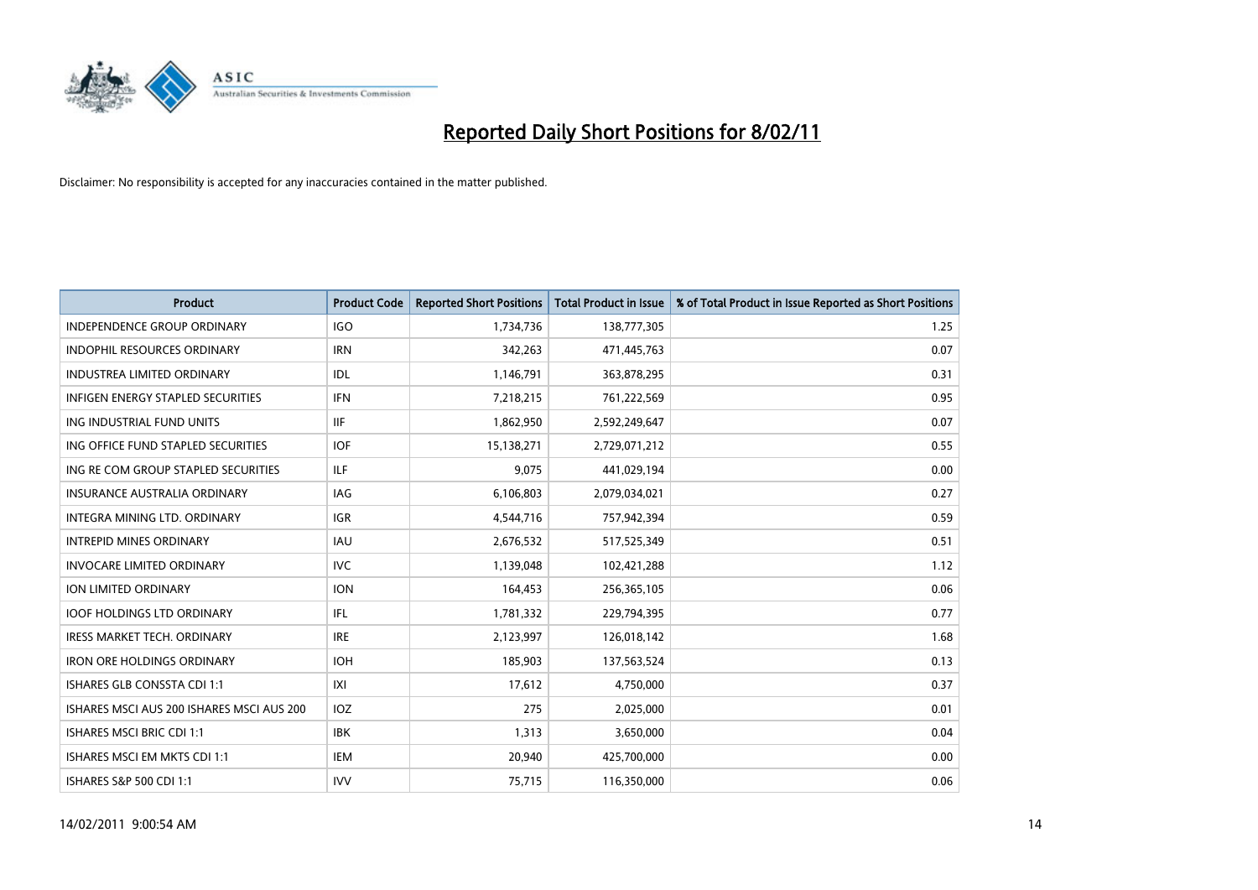

| <b>Product</b>                            | <b>Product Code</b> | <b>Reported Short Positions</b> | Total Product in Issue | % of Total Product in Issue Reported as Short Positions |
|-------------------------------------------|---------------------|---------------------------------|------------------------|---------------------------------------------------------|
| <b>INDEPENDENCE GROUP ORDINARY</b>        | <b>IGO</b>          | 1,734,736                       | 138,777,305            | 1.25                                                    |
| INDOPHIL RESOURCES ORDINARY               | <b>IRN</b>          | 342,263                         | 471,445,763            | 0.07                                                    |
| <b>INDUSTREA LIMITED ORDINARY</b>         | IDL                 | 1,146,791                       | 363,878,295            | 0.31                                                    |
| INFIGEN ENERGY STAPLED SECURITIES         | <b>IFN</b>          | 7,218,215                       | 761,222,569            | 0.95                                                    |
| ING INDUSTRIAL FUND UNITS                 | <b>IIF</b>          | 1,862,950                       | 2,592,249,647          | 0.07                                                    |
| ING OFFICE FUND STAPLED SECURITIES        | <b>IOF</b>          | 15,138,271                      | 2,729,071,212          | 0.55                                                    |
| ING RE COM GROUP STAPLED SECURITIES       | ILF.                | 9,075                           | 441,029,194            | 0.00                                                    |
| <b>INSURANCE AUSTRALIA ORDINARY</b>       | IAG                 | 6,106,803                       | 2,079,034,021          | 0.27                                                    |
| INTEGRA MINING LTD. ORDINARY              | <b>IGR</b>          | 4,544,716                       | 757,942,394            | 0.59                                                    |
| <b>INTREPID MINES ORDINARY</b>            | <b>IAU</b>          | 2,676,532                       | 517,525,349            | 0.51                                                    |
| <b>INVOCARE LIMITED ORDINARY</b>          | <b>IVC</b>          | 1,139,048                       | 102,421,288            | 1.12                                                    |
| <b>ION LIMITED ORDINARY</b>               | <b>ION</b>          | 164,453                         | 256,365,105            | 0.06                                                    |
| <b>IOOF HOLDINGS LTD ORDINARY</b>         | IFL.                | 1,781,332                       | 229,794,395            | 0.77                                                    |
| <b>IRESS MARKET TECH. ORDINARY</b>        | <b>IRE</b>          | 2,123,997                       | 126,018,142            | 1.68                                                    |
| <b>IRON ORE HOLDINGS ORDINARY</b>         | <b>IOH</b>          | 185,903                         | 137,563,524            | 0.13                                                    |
| <b>ISHARES GLB CONSSTA CDI 1:1</b>        | X                   | 17,612                          | 4,750,000              | 0.37                                                    |
| ISHARES MSCI AUS 200 ISHARES MSCI AUS 200 | IOZ                 | 275                             | 2,025,000              | 0.01                                                    |
| <b>ISHARES MSCI BRIC CDI 1:1</b>          | <b>IBK</b>          | 1,313                           | 3,650,000              | 0.04                                                    |
| ISHARES MSCI EM MKTS CDI 1:1              | IEM                 | 20,940                          | 425,700,000            | 0.00                                                    |
| ISHARES S&P 500 CDI 1:1                   | <b>IVV</b>          | 75,715                          | 116,350,000            | 0.06                                                    |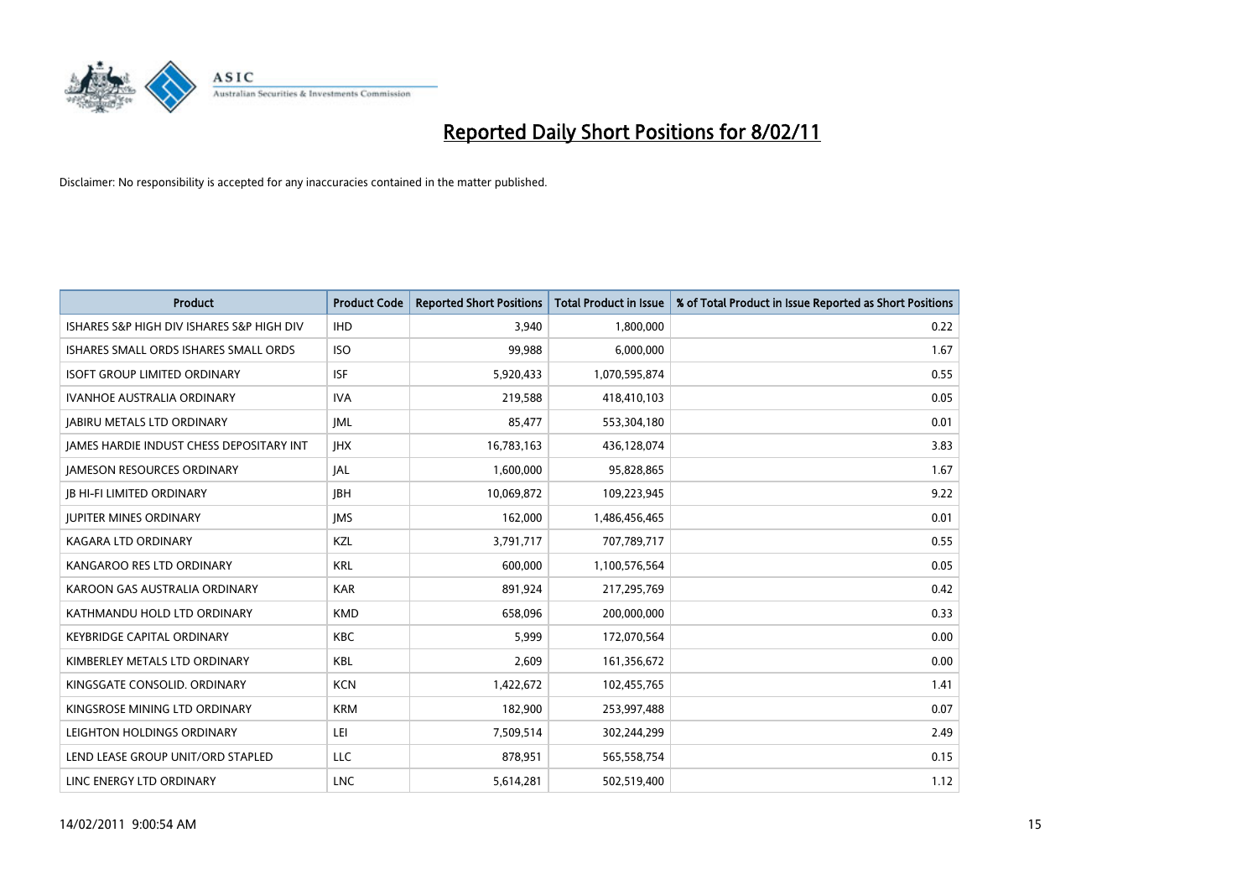

| <b>Product</b>                                  | <b>Product Code</b> | <b>Reported Short Positions</b> | Total Product in Issue | % of Total Product in Issue Reported as Short Positions |
|-------------------------------------------------|---------------------|---------------------------------|------------------------|---------------------------------------------------------|
| ISHARES S&P HIGH DIV ISHARES S&P HIGH DIV       | <b>IHD</b>          | 3,940                           | 1,800,000              | 0.22                                                    |
| ISHARES SMALL ORDS ISHARES SMALL ORDS           | <b>ISO</b>          | 99,988                          | 6,000,000              | 1.67                                                    |
| <b>ISOFT GROUP LIMITED ORDINARY</b>             | <b>ISF</b>          | 5,920,433                       | 1,070,595,874          | 0.55                                                    |
| IVANHOE AUSTRALIA ORDINARY                      | <b>IVA</b>          | 219,588                         | 418,410,103            | 0.05                                                    |
| <b>JABIRU METALS LTD ORDINARY</b>               | <b>JML</b>          | 85,477                          | 553,304,180            | 0.01                                                    |
| <b>IAMES HARDIE INDUST CHESS DEPOSITARY INT</b> | <b>IHX</b>          | 16,783,163                      | 436,128,074            | 3.83                                                    |
| <b>JAMESON RESOURCES ORDINARY</b>               | JAL                 | 1,600,000                       | 95,828,865             | 1.67                                                    |
| <b>IB HI-FI LIMITED ORDINARY</b>                | <b>IBH</b>          | 10,069,872                      | 109,223,945            | 9.22                                                    |
| <b>JUPITER MINES ORDINARY</b>                   | <b>IMS</b>          | 162,000                         | 1,486,456,465          | 0.01                                                    |
| <b>KAGARA LTD ORDINARY</b>                      | KZL                 | 3,791,717                       | 707,789,717            | 0.55                                                    |
| KANGAROO RES LTD ORDINARY                       | <b>KRL</b>          | 600,000                         | 1,100,576,564          | 0.05                                                    |
| KAROON GAS AUSTRALIA ORDINARY                   | <b>KAR</b>          | 891,924                         | 217,295,769            | 0.42                                                    |
| KATHMANDU HOLD LTD ORDINARY                     | <b>KMD</b>          | 658.096                         | 200,000,000            | 0.33                                                    |
| <b>KEYBRIDGE CAPITAL ORDINARY</b>               | <b>KBC</b>          | 5,999                           | 172,070,564            | 0.00                                                    |
| KIMBERLEY METALS LTD ORDINARY                   | KBL                 | 2,609                           | 161,356,672            | 0.00                                                    |
| KINGSGATE CONSOLID. ORDINARY                    | <b>KCN</b>          | 1,422,672                       | 102,455,765            | 1.41                                                    |
| KINGSROSE MINING LTD ORDINARY                   | <b>KRM</b>          | 182,900                         | 253,997,488            | 0.07                                                    |
| LEIGHTON HOLDINGS ORDINARY                      | LEI                 | 7,509,514                       | 302,244,299            | 2.49                                                    |
| LEND LEASE GROUP UNIT/ORD STAPLED               | LLC                 | 878,951                         | 565,558,754            | 0.15                                                    |
| LINC ENERGY LTD ORDINARY                        | <b>LNC</b>          | 5,614,281                       | 502,519,400            | 1.12                                                    |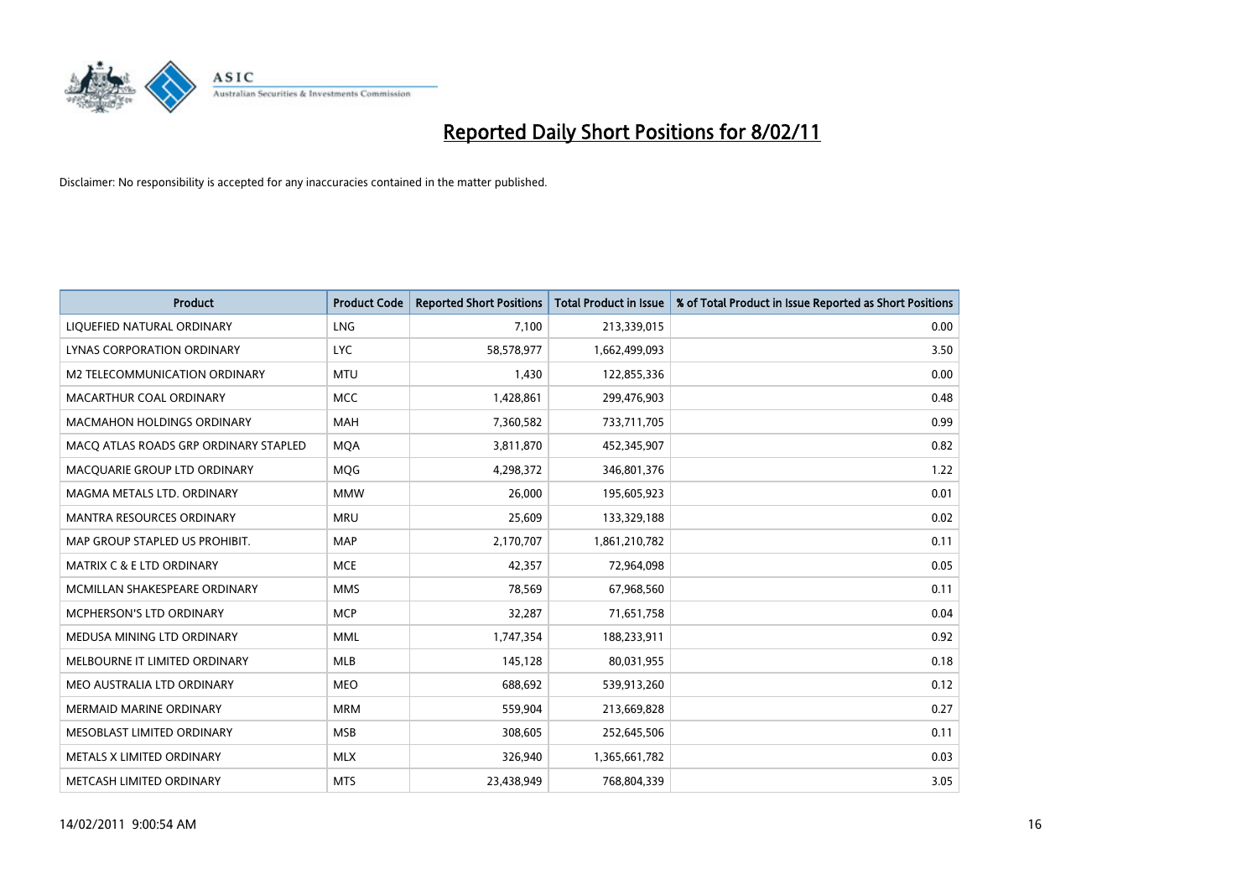

| <b>Product</b>                        | <b>Product Code</b> | <b>Reported Short Positions</b> | Total Product in Issue | % of Total Product in Issue Reported as Short Positions |
|---------------------------------------|---------------------|---------------------------------|------------------------|---------------------------------------------------------|
| LIQUEFIED NATURAL ORDINARY            | <b>LNG</b>          | 7,100                           | 213,339,015            | 0.00                                                    |
| LYNAS CORPORATION ORDINARY            | <b>LYC</b>          | 58,578,977                      | 1,662,499,093          | 3.50                                                    |
| M2 TELECOMMUNICATION ORDINARY         | <b>MTU</b>          | 1,430                           | 122,855,336            | 0.00                                                    |
| MACARTHUR COAL ORDINARY               | <b>MCC</b>          | 1,428,861                       | 299,476,903            | 0.48                                                    |
| <b>MACMAHON HOLDINGS ORDINARY</b>     | <b>MAH</b>          | 7,360,582                       | 733,711,705            | 0.99                                                    |
| MACQ ATLAS ROADS GRP ORDINARY STAPLED | <b>MQA</b>          | 3,811,870                       | 452,345,907            | 0.82                                                    |
| MACQUARIE GROUP LTD ORDINARY          | MQG                 | 4,298,372                       | 346,801,376            | 1.22                                                    |
| MAGMA METALS LTD. ORDINARY            | <b>MMW</b>          | 26,000                          | 195,605,923            | 0.01                                                    |
| MANTRA RESOURCES ORDINARY             | <b>MRU</b>          | 25,609                          | 133,329,188            | 0.02                                                    |
| MAP GROUP STAPLED US PROHIBIT.        | <b>MAP</b>          | 2,170,707                       | 1,861,210,782          | 0.11                                                    |
| <b>MATRIX C &amp; E LTD ORDINARY</b>  | <b>MCE</b>          | 42,357                          | 72,964,098             | 0.05                                                    |
| MCMILLAN SHAKESPEARE ORDINARY         | <b>MMS</b>          | 78,569                          | 67,968,560             | 0.11                                                    |
| <b>MCPHERSON'S LTD ORDINARY</b>       | <b>MCP</b>          | 32,287                          | 71,651,758             | 0.04                                                    |
| MEDUSA MINING LTD ORDINARY            | <b>MML</b>          | 1,747,354                       | 188,233,911            | 0.92                                                    |
| MELBOURNE IT LIMITED ORDINARY         | <b>MLB</b>          | 145,128                         | 80,031,955             | 0.18                                                    |
| MEO AUSTRALIA LTD ORDINARY            | <b>MEO</b>          | 688,692                         | 539,913,260            | 0.12                                                    |
| <b>MERMAID MARINE ORDINARY</b>        | <b>MRM</b>          | 559,904                         | 213,669,828            | 0.27                                                    |
| MESOBLAST LIMITED ORDINARY            | <b>MSB</b>          | 308,605                         | 252,645,506            | 0.11                                                    |
| METALS X LIMITED ORDINARY             | <b>MLX</b>          | 326,940                         | 1,365,661,782          | 0.03                                                    |
| METCASH LIMITED ORDINARY              | <b>MTS</b>          | 23,438,949                      | 768,804,339            | 3.05                                                    |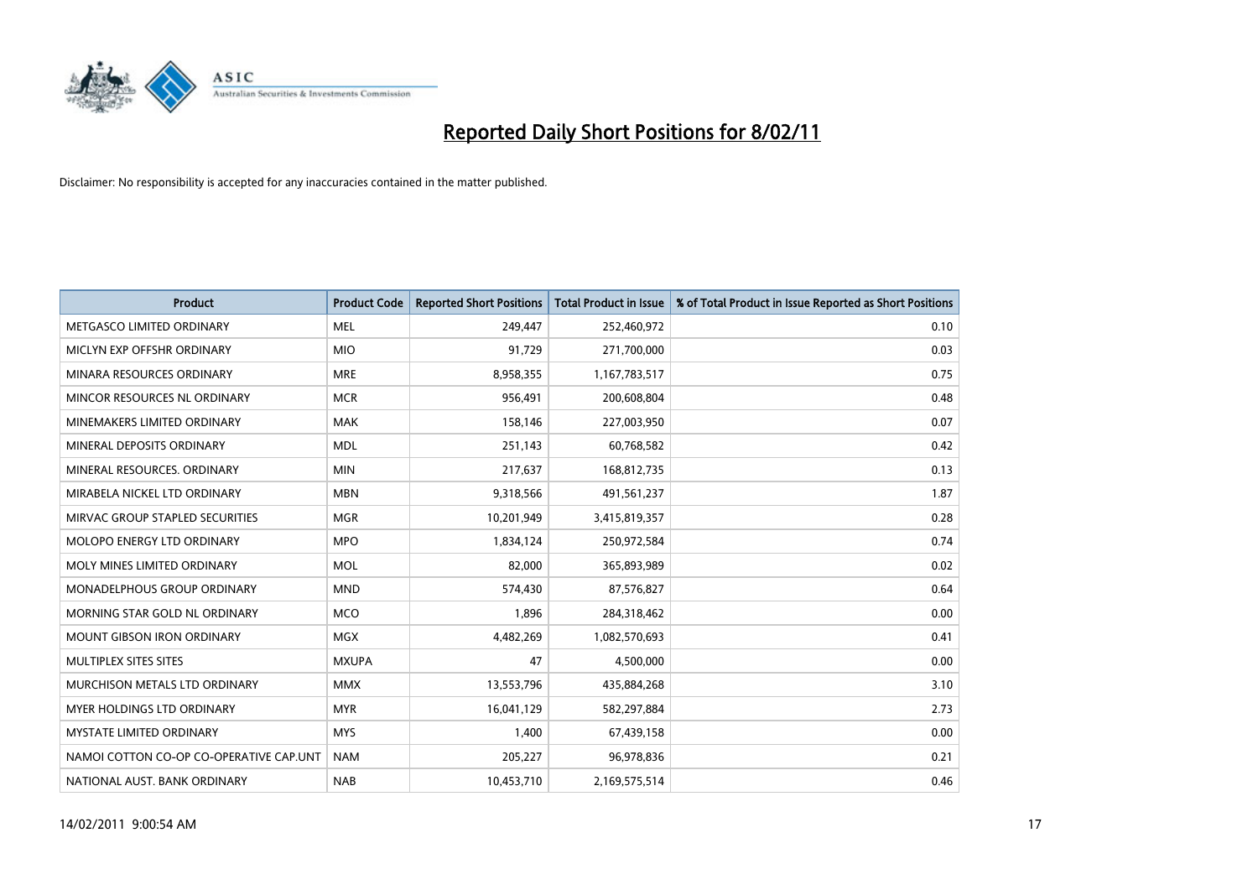

| <b>Product</b>                          | <b>Product Code</b> | <b>Reported Short Positions</b> | <b>Total Product in Issue</b> | % of Total Product in Issue Reported as Short Positions |
|-----------------------------------------|---------------------|---------------------------------|-------------------------------|---------------------------------------------------------|
| METGASCO LIMITED ORDINARY               | <b>MEL</b>          | 249,447                         | 252,460,972                   | 0.10                                                    |
| MICLYN EXP OFFSHR ORDINARY              | <b>MIO</b>          | 91,729                          | 271,700,000                   | 0.03                                                    |
| MINARA RESOURCES ORDINARY               | <b>MRE</b>          | 8,958,355                       | 1,167,783,517                 | 0.75                                                    |
| MINCOR RESOURCES NL ORDINARY            | <b>MCR</b>          | 956,491                         | 200,608,804                   | 0.48                                                    |
| MINEMAKERS LIMITED ORDINARY             | <b>MAK</b>          | 158,146                         | 227,003,950                   | 0.07                                                    |
| MINERAL DEPOSITS ORDINARY               | <b>MDL</b>          | 251,143                         | 60,768,582                    | 0.42                                                    |
| MINERAL RESOURCES, ORDINARY             | <b>MIN</b>          | 217,637                         | 168,812,735                   | 0.13                                                    |
| MIRABELA NICKEL LTD ORDINARY            | <b>MBN</b>          | 9,318,566                       | 491,561,237                   | 1.87                                                    |
| MIRVAC GROUP STAPLED SECURITIES         | <b>MGR</b>          | 10,201,949                      | 3,415,819,357                 | 0.28                                                    |
| MOLOPO ENERGY LTD ORDINARY              | <b>MPO</b>          | 1,834,124                       | 250,972,584                   | 0.74                                                    |
| MOLY MINES LIMITED ORDINARY             | <b>MOL</b>          | 82,000                          | 365,893,989                   | 0.02                                                    |
| <b>MONADELPHOUS GROUP ORDINARY</b>      | <b>MND</b>          | 574,430                         | 87,576,827                    | 0.64                                                    |
| MORNING STAR GOLD NL ORDINARY           | <b>MCO</b>          | 1,896                           | 284,318,462                   | 0.00                                                    |
| <b>MOUNT GIBSON IRON ORDINARY</b>       | <b>MGX</b>          | 4,482,269                       | 1,082,570,693                 | 0.41                                                    |
| MULTIPLEX SITES SITES                   | <b>MXUPA</b>        | 47                              | 4,500,000                     | 0.00                                                    |
| MURCHISON METALS LTD ORDINARY           | <b>MMX</b>          | 13,553,796                      | 435,884,268                   | 3.10                                                    |
| <b>MYER HOLDINGS LTD ORDINARY</b>       | <b>MYR</b>          | 16,041,129                      | 582,297,884                   | 2.73                                                    |
| <b>MYSTATE LIMITED ORDINARY</b>         | <b>MYS</b>          | 1,400                           | 67,439,158                    | 0.00                                                    |
| NAMOI COTTON CO-OP CO-OPERATIVE CAP.UNT | <b>NAM</b>          | 205,227                         | 96,978,836                    | 0.21                                                    |
| NATIONAL AUST. BANK ORDINARY            | <b>NAB</b>          | 10.453.710                      | 2,169,575,514                 | 0.46                                                    |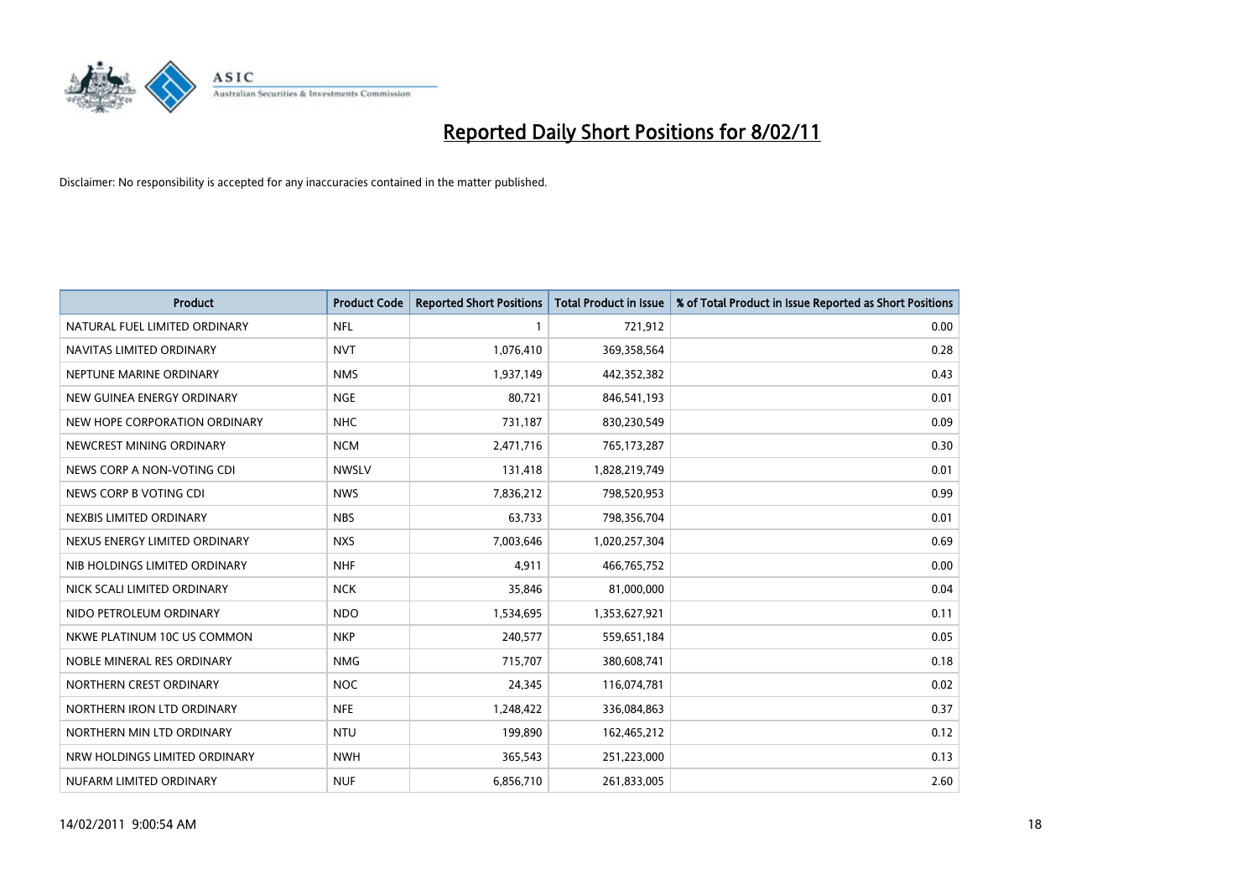

| <b>Product</b>                | <b>Product Code</b> | <b>Reported Short Positions</b> | <b>Total Product in Issue</b> | % of Total Product in Issue Reported as Short Positions |
|-------------------------------|---------------------|---------------------------------|-------------------------------|---------------------------------------------------------|
| NATURAL FUEL LIMITED ORDINARY | <b>NFL</b>          |                                 | 721,912                       | 0.00                                                    |
| NAVITAS LIMITED ORDINARY      | <b>NVT</b>          | 1,076,410                       | 369,358,564                   | 0.28                                                    |
| NEPTUNE MARINE ORDINARY       | <b>NMS</b>          | 1,937,149                       | 442,352,382                   | 0.43                                                    |
| NEW GUINEA ENERGY ORDINARY    | <b>NGE</b>          | 80,721                          | 846,541,193                   | 0.01                                                    |
| NEW HOPE CORPORATION ORDINARY | <b>NHC</b>          | 731,187                         | 830,230,549                   | 0.09                                                    |
| NEWCREST MINING ORDINARY      | <b>NCM</b>          | 2,471,716                       | 765,173,287                   | 0.30                                                    |
| NEWS CORP A NON-VOTING CDI    | <b>NWSLV</b>        | 131,418                         | 1,828,219,749                 | 0.01                                                    |
| NEWS CORP B VOTING CDI        | <b>NWS</b>          | 7,836,212                       | 798,520,953                   | 0.99                                                    |
| NEXBIS LIMITED ORDINARY       | <b>NBS</b>          | 63,733                          | 798,356,704                   | 0.01                                                    |
| NEXUS ENERGY LIMITED ORDINARY | <b>NXS</b>          | 7,003,646                       | 1,020,257,304                 | 0.69                                                    |
| NIB HOLDINGS LIMITED ORDINARY | <b>NHF</b>          | 4,911                           | 466,765,752                   | 0.00                                                    |
| NICK SCALI LIMITED ORDINARY   | <b>NCK</b>          | 35,846                          | 81,000,000                    | 0.04                                                    |
| NIDO PETROLEUM ORDINARY       | <b>NDO</b>          | 1,534,695                       | 1,353,627,921                 | 0.11                                                    |
| NKWE PLATINUM 10C US COMMON   | <b>NKP</b>          | 240,577                         | 559,651,184                   | 0.05                                                    |
| NOBLE MINERAL RES ORDINARY    | <b>NMG</b>          | 715,707                         | 380,608,741                   | 0.18                                                    |
| NORTHERN CREST ORDINARY       | <b>NOC</b>          | 24,345                          | 116,074,781                   | 0.02                                                    |
| NORTHERN IRON LTD ORDINARY    | <b>NFE</b>          | 1,248,422                       | 336,084,863                   | 0.37                                                    |
| NORTHERN MIN LTD ORDINARY     | <b>NTU</b>          | 199,890                         | 162,465,212                   | 0.12                                                    |
| NRW HOLDINGS LIMITED ORDINARY | <b>NWH</b>          | 365,543                         | 251,223,000                   | 0.13                                                    |
| NUFARM LIMITED ORDINARY       | <b>NUF</b>          | 6,856,710                       | 261,833,005                   | 2.60                                                    |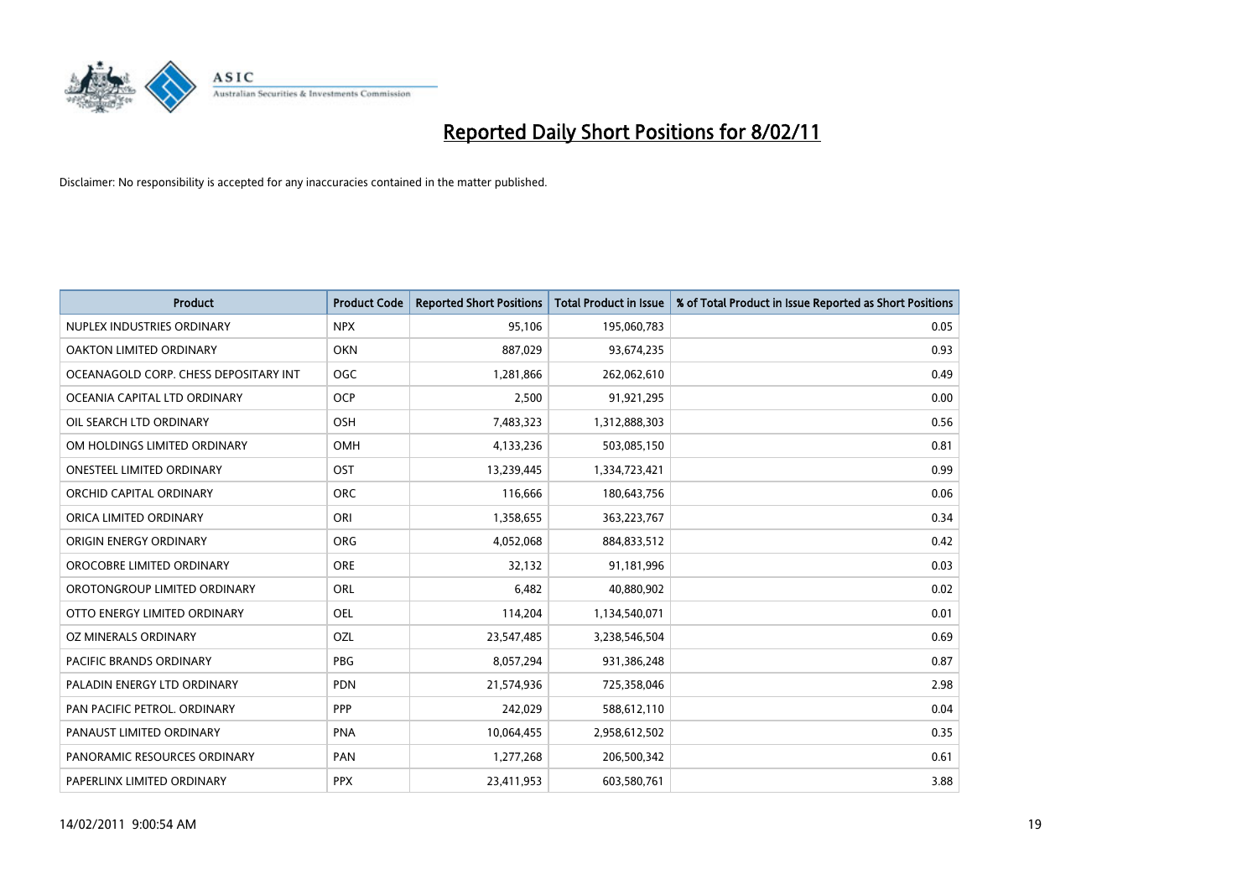

| <b>Product</b>                        | <b>Product Code</b> | <b>Reported Short Positions</b> | <b>Total Product in Issue</b> | % of Total Product in Issue Reported as Short Positions |
|---------------------------------------|---------------------|---------------------------------|-------------------------------|---------------------------------------------------------|
| NUPLEX INDUSTRIES ORDINARY            | <b>NPX</b>          | 95,106                          | 195,060,783                   | 0.05                                                    |
| OAKTON LIMITED ORDINARY               | <b>OKN</b>          | 887,029                         | 93,674,235                    | 0.93                                                    |
| OCEANAGOLD CORP. CHESS DEPOSITARY INT | OGC                 | 1,281,866                       | 262,062,610                   | 0.49                                                    |
| OCEANIA CAPITAL LTD ORDINARY          | <b>OCP</b>          | 2,500                           | 91,921,295                    | 0.00                                                    |
| OIL SEARCH LTD ORDINARY               | OSH                 | 7,483,323                       | 1,312,888,303                 | 0.56                                                    |
| OM HOLDINGS LIMITED ORDINARY          | OMH                 | 4,133,236                       | 503,085,150                   | 0.81                                                    |
| <b>ONESTEEL LIMITED ORDINARY</b>      | OST                 | 13,239,445                      | 1,334,723,421                 | 0.99                                                    |
| ORCHID CAPITAL ORDINARY               | <b>ORC</b>          | 116,666                         | 180,643,756                   | 0.06                                                    |
| ORICA LIMITED ORDINARY                | ORI                 | 1,358,655                       | 363,223,767                   | 0.34                                                    |
| ORIGIN ENERGY ORDINARY                | <b>ORG</b>          | 4,052,068                       | 884,833,512                   | 0.42                                                    |
| OROCOBRE LIMITED ORDINARY             | <b>ORE</b>          | 32,132                          | 91,181,996                    | 0.03                                                    |
| OROTONGROUP LIMITED ORDINARY          | <b>ORL</b>          | 6,482                           | 40,880,902                    | 0.02                                                    |
| OTTO ENERGY LIMITED ORDINARY          | OEL                 | 114,204                         | 1,134,540,071                 | 0.01                                                    |
| OZ MINERALS ORDINARY                  | OZL                 | 23,547,485                      | 3,238,546,504                 | 0.69                                                    |
| <b>PACIFIC BRANDS ORDINARY</b>        | <b>PBG</b>          | 8,057,294                       | 931,386,248                   | 0.87                                                    |
| PALADIN ENERGY LTD ORDINARY           | <b>PDN</b>          | 21,574,936                      | 725,358,046                   | 2.98                                                    |
| PAN PACIFIC PETROL. ORDINARY          | PPP                 | 242,029                         | 588,612,110                   | 0.04                                                    |
| PANAUST LIMITED ORDINARY              | <b>PNA</b>          | 10,064,455                      | 2,958,612,502                 | 0.35                                                    |
| PANORAMIC RESOURCES ORDINARY          | PAN                 | 1,277,268                       | 206,500,342                   | 0.61                                                    |
| PAPERLINX LIMITED ORDINARY            | <b>PPX</b>          | 23,411,953                      | 603,580,761                   | 3.88                                                    |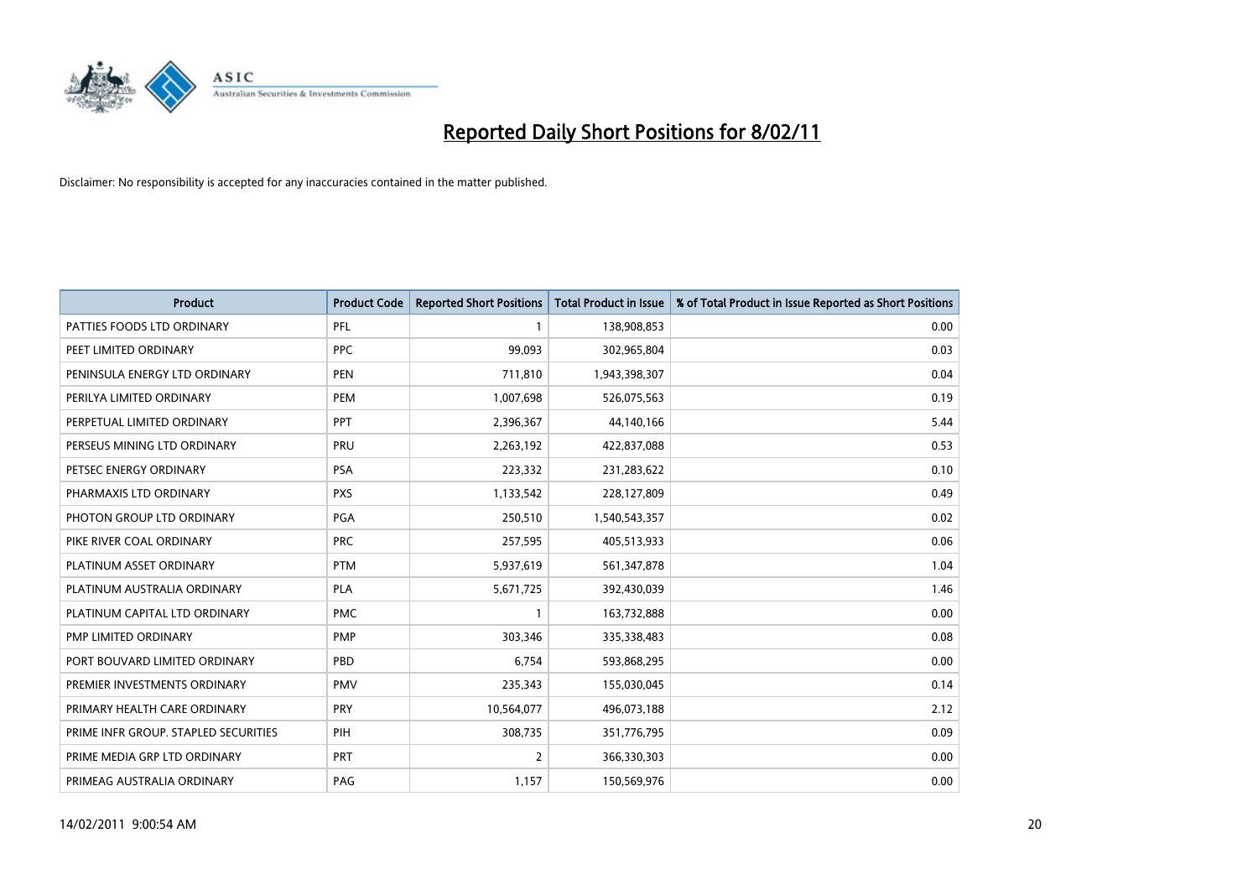

| <b>Product</b>                       | <b>Product Code</b> | <b>Reported Short Positions</b> | <b>Total Product in Issue</b> | % of Total Product in Issue Reported as Short Positions |
|--------------------------------------|---------------------|---------------------------------|-------------------------------|---------------------------------------------------------|
| PATTIES FOODS LTD ORDINARY           | PFL                 |                                 | 138,908,853                   | 0.00                                                    |
| PEET LIMITED ORDINARY                | <b>PPC</b>          | 99,093                          | 302,965,804                   | 0.03                                                    |
| PENINSULA ENERGY LTD ORDINARY        | <b>PEN</b>          | 711,810                         | 1,943,398,307                 | 0.04                                                    |
| PERILYA LIMITED ORDINARY             | <b>PEM</b>          | 1,007,698                       | 526,075,563                   | 0.19                                                    |
| PERPETUAL LIMITED ORDINARY           | <b>PPT</b>          | 2,396,367                       | 44,140,166                    | 5.44                                                    |
| PERSEUS MINING LTD ORDINARY          | PRU                 | 2,263,192                       | 422,837,088                   | 0.53                                                    |
| PETSEC ENERGY ORDINARY               | PSA                 | 223,332                         | 231,283,622                   | 0.10                                                    |
| PHARMAXIS LTD ORDINARY               | <b>PXS</b>          | 1,133,542                       | 228,127,809                   | 0.49                                                    |
| PHOTON GROUP LTD ORDINARY            | PGA                 | 250,510                         | 1,540,543,357                 | 0.02                                                    |
| PIKE RIVER COAL ORDINARY             | <b>PRC</b>          | 257,595                         | 405,513,933                   | 0.06                                                    |
| PLATINUM ASSET ORDINARY              | <b>PTM</b>          | 5,937,619                       | 561,347,878                   | 1.04                                                    |
| PLATINUM AUSTRALIA ORDINARY          | <b>PLA</b>          | 5,671,725                       | 392,430,039                   | 1.46                                                    |
| PLATINUM CAPITAL LTD ORDINARY        | <b>PMC</b>          |                                 | 163,732,888                   | 0.00                                                    |
| PMP LIMITED ORDINARY                 | <b>PMP</b>          | 303,346                         | 335,338,483                   | 0.08                                                    |
| PORT BOUVARD LIMITED ORDINARY        | PBD                 | 6,754                           | 593,868,295                   | 0.00                                                    |
| PREMIER INVESTMENTS ORDINARY         | <b>PMV</b>          | 235,343                         | 155,030,045                   | 0.14                                                    |
| PRIMARY HEALTH CARE ORDINARY         | <b>PRY</b>          | 10,564,077                      | 496,073,188                   | 2.12                                                    |
| PRIME INFR GROUP. STAPLED SECURITIES | PIH                 | 308,735                         | 351,776,795                   | 0.09                                                    |
| PRIME MEDIA GRP LTD ORDINARY         | <b>PRT</b>          | $\overline{2}$                  | 366,330,303                   | 0.00                                                    |
| PRIMEAG AUSTRALIA ORDINARY           | PAG                 | 1,157                           | 150,569,976                   | 0.00                                                    |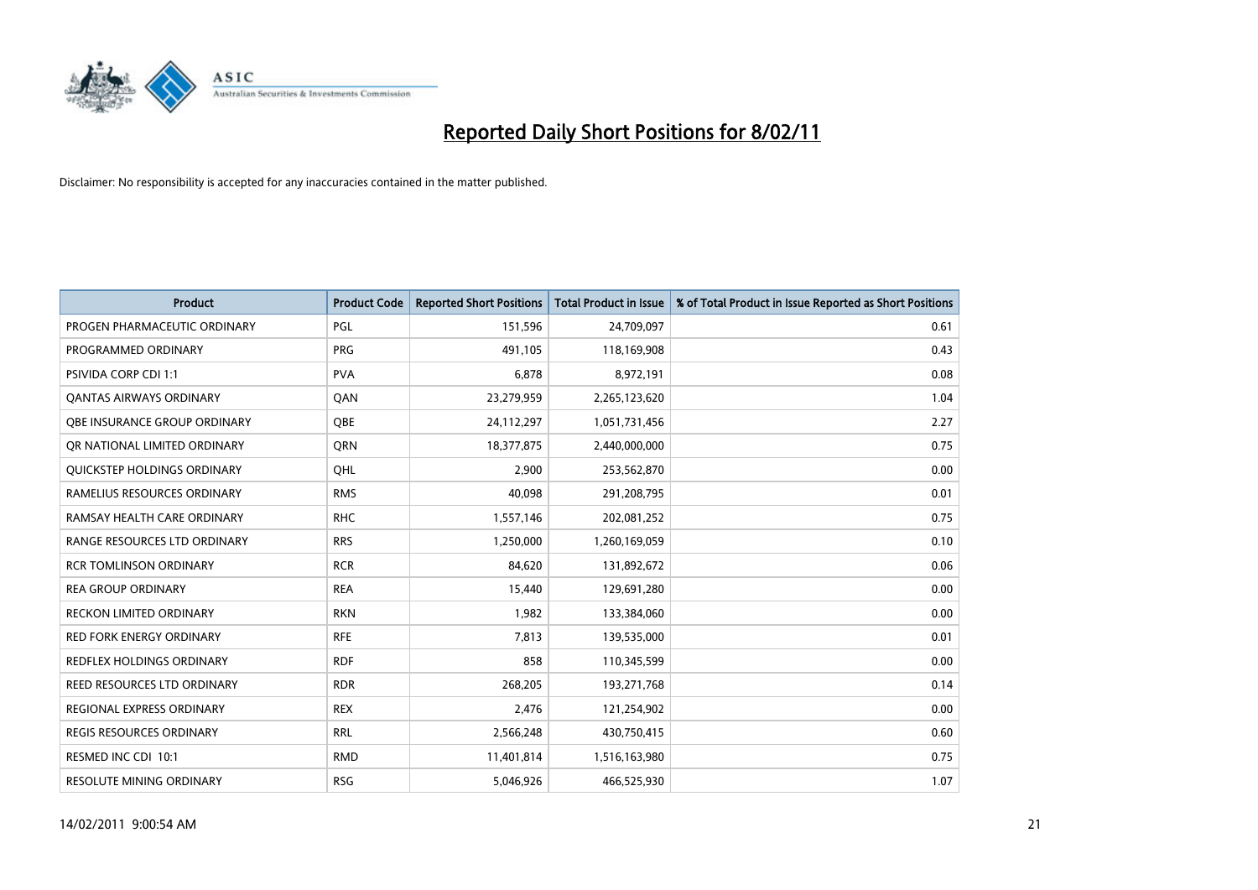

| <b>Product</b>                   | <b>Product Code</b> | <b>Reported Short Positions</b> | <b>Total Product in Issue</b> | % of Total Product in Issue Reported as Short Positions |
|----------------------------------|---------------------|---------------------------------|-------------------------------|---------------------------------------------------------|
| PROGEN PHARMACEUTIC ORDINARY     | PGL                 | 151,596                         | 24,709,097                    | 0.61                                                    |
| PROGRAMMED ORDINARY              | <b>PRG</b>          | 491,105                         | 118,169,908                   | 0.43                                                    |
| <b>PSIVIDA CORP CDI 1:1</b>      | <b>PVA</b>          | 6,878                           | 8,972,191                     | 0.08                                                    |
| <b>QANTAS AIRWAYS ORDINARY</b>   | QAN                 | 23,279,959                      | 2,265,123,620                 | 1.04                                                    |
| OBE INSURANCE GROUP ORDINARY     | <b>OBE</b>          | 24,112,297                      | 1,051,731,456                 | 2.27                                                    |
| OR NATIONAL LIMITED ORDINARY     | <b>ORN</b>          | 18,377,875                      | 2,440,000,000                 | 0.75                                                    |
| QUICKSTEP HOLDINGS ORDINARY      | OHL                 | 2.900                           | 253,562,870                   | 0.00                                                    |
| RAMELIUS RESOURCES ORDINARY      | <b>RMS</b>          | 40.098                          | 291,208,795                   | 0.01                                                    |
| RAMSAY HEALTH CARE ORDINARY      | <b>RHC</b>          | 1,557,146                       | 202,081,252                   | 0.75                                                    |
| RANGE RESOURCES LTD ORDINARY     | <b>RRS</b>          | 1,250,000                       | 1,260,169,059                 | 0.10                                                    |
| RCR TOMLINSON ORDINARY           | <b>RCR</b>          | 84,620                          | 131,892,672                   | 0.06                                                    |
| <b>REA GROUP ORDINARY</b>        | <b>REA</b>          | 15,440                          | 129,691,280                   | 0.00                                                    |
| <b>RECKON LIMITED ORDINARY</b>   | <b>RKN</b>          | 1,982                           | 133,384,060                   | 0.00                                                    |
| <b>RED FORK ENERGY ORDINARY</b>  | <b>RFE</b>          | 7,813                           | 139,535,000                   | 0.01                                                    |
| <b>REDFLEX HOLDINGS ORDINARY</b> | <b>RDF</b>          | 858                             | 110,345,599                   | 0.00                                                    |
| REED RESOURCES LTD ORDINARY      | <b>RDR</b>          | 268,205                         | 193,271,768                   | 0.14                                                    |
| <b>REGIONAL EXPRESS ORDINARY</b> | <b>REX</b>          | 2,476                           | 121,254,902                   | 0.00                                                    |
| REGIS RESOURCES ORDINARY         | <b>RRL</b>          | 2,566,248                       | 430,750,415                   | 0.60                                                    |
| RESMED INC CDI 10:1              | <b>RMD</b>          | 11,401,814                      | 1,516,163,980                 | 0.75                                                    |
| <b>RESOLUTE MINING ORDINARY</b>  | <b>RSG</b>          | 5,046,926                       | 466,525,930                   | 1.07                                                    |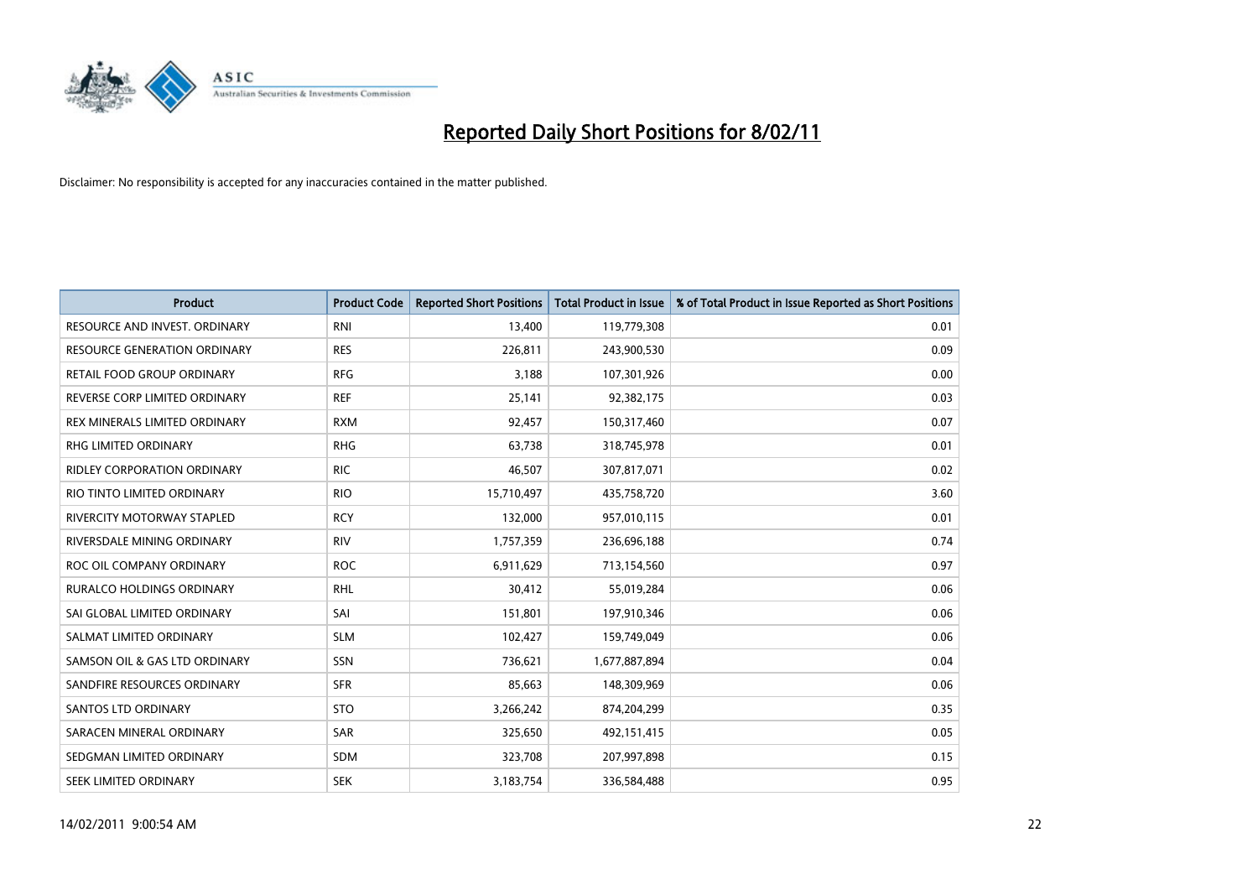

| Product                             | <b>Product Code</b> | <b>Reported Short Positions</b> | Total Product in Issue | % of Total Product in Issue Reported as Short Positions |
|-------------------------------------|---------------------|---------------------------------|------------------------|---------------------------------------------------------|
| RESOURCE AND INVEST. ORDINARY       | <b>RNI</b>          | 13,400                          | 119,779,308            | 0.01                                                    |
| <b>RESOURCE GENERATION ORDINARY</b> | <b>RES</b>          | 226,811                         | 243,900,530            | 0.09                                                    |
| RETAIL FOOD GROUP ORDINARY          | <b>RFG</b>          | 3,188                           | 107,301,926            | 0.00                                                    |
| REVERSE CORP LIMITED ORDINARY       | <b>REF</b>          | 25,141                          | 92,382,175             | 0.03                                                    |
| REX MINERALS LIMITED ORDINARY       | <b>RXM</b>          | 92,457                          | 150,317,460            | 0.07                                                    |
| <b>RHG LIMITED ORDINARY</b>         | <b>RHG</b>          | 63,738                          | 318,745,978            | 0.01                                                    |
| <b>RIDLEY CORPORATION ORDINARY</b>  | <b>RIC</b>          | 46,507                          | 307,817,071            | 0.02                                                    |
| RIO TINTO LIMITED ORDINARY          | <b>RIO</b>          | 15,710,497                      | 435,758,720            | 3.60                                                    |
| <b>RIVERCITY MOTORWAY STAPLED</b>   | <b>RCY</b>          | 132,000                         | 957,010,115            | 0.01                                                    |
| RIVERSDALE MINING ORDINARY          | <b>RIV</b>          | 1,757,359                       | 236,696,188            | 0.74                                                    |
| ROC OIL COMPANY ORDINARY            | <b>ROC</b>          | 6,911,629                       | 713,154,560            | 0.97                                                    |
| <b>RURALCO HOLDINGS ORDINARY</b>    | <b>RHL</b>          | 30,412                          | 55,019,284             | 0.06                                                    |
| SAI GLOBAL LIMITED ORDINARY         | SAI                 | 151,801                         | 197,910,346            | 0.06                                                    |
| SALMAT LIMITED ORDINARY             | <b>SLM</b>          | 102,427                         | 159,749,049            | 0.06                                                    |
| SAMSON OIL & GAS LTD ORDINARY       | SSN                 | 736,621                         | 1,677,887,894          | 0.04                                                    |
| SANDFIRE RESOURCES ORDINARY         | <b>SFR</b>          | 85,663                          | 148,309,969            | 0.06                                                    |
| <b>SANTOS LTD ORDINARY</b>          | <b>STO</b>          | 3,266,242                       | 874,204,299            | 0.35                                                    |
| SARACEN MINERAL ORDINARY            | SAR                 | 325,650                         | 492,151,415            | 0.05                                                    |
| SEDGMAN LIMITED ORDINARY            | <b>SDM</b>          | 323,708                         | 207,997,898            | 0.15                                                    |
| <b>SEEK LIMITED ORDINARY</b>        | <b>SEK</b>          | 3,183,754                       | 336,584,488            | 0.95                                                    |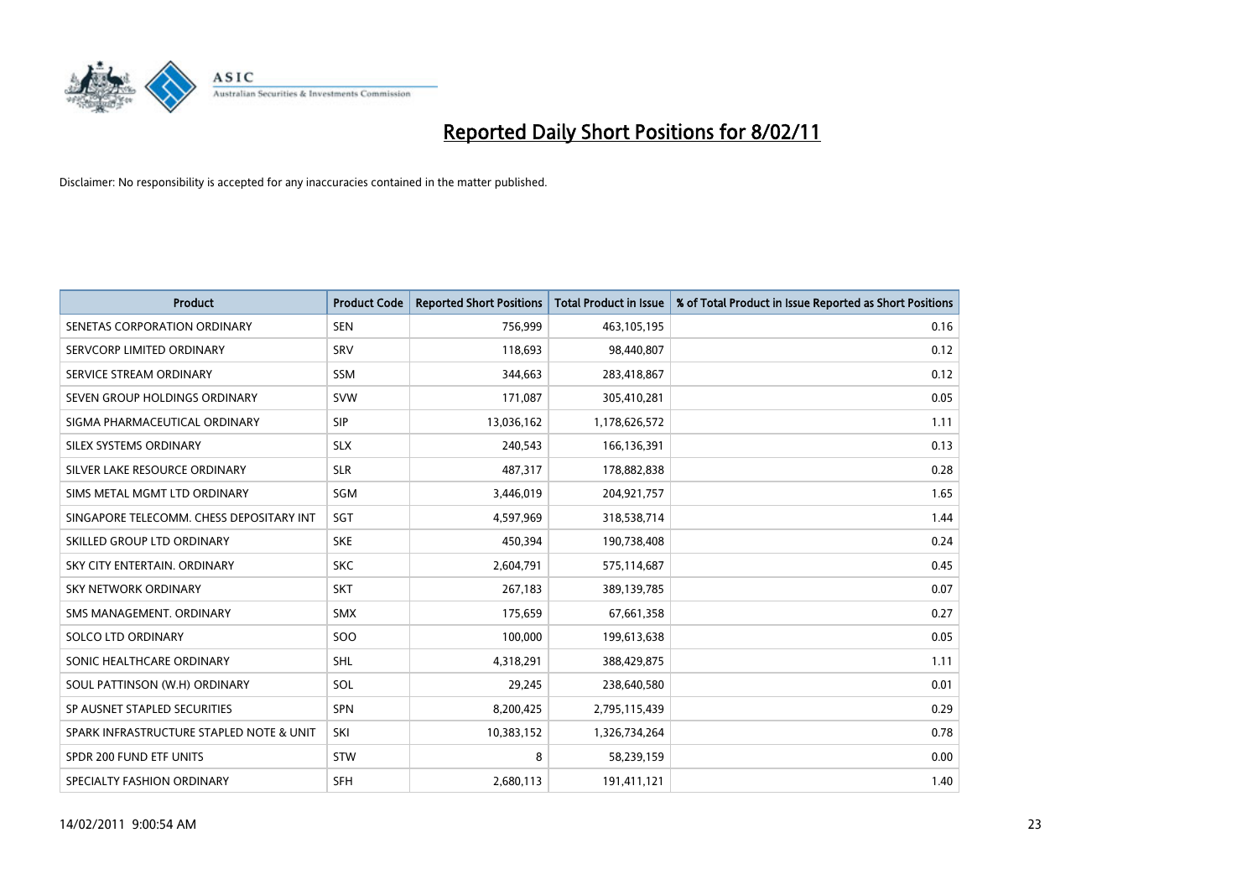

| <b>Product</b>                           | <b>Product Code</b> | <b>Reported Short Positions</b> | <b>Total Product in Issue</b> | % of Total Product in Issue Reported as Short Positions |
|------------------------------------------|---------------------|---------------------------------|-------------------------------|---------------------------------------------------------|
| SENETAS CORPORATION ORDINARY             | <b>SEN</b>          | 756,999                         | 463,105,195                   | 0.16                                                    |
| SERVCORP LIMITED ORDINARY                | SRV                 | 118,693                         | 98,440,807                    | 0.12                                                    |
| SERVICE STREAM ORDINARY                  | <b>SSM</b>          | 344,663                         | 283,418,867                   | 0.12                                                    |
| SEVEN GROUP HOLDINGS ORDINARY            | <b>SVW</b>          | 171,087                         | 305,410,281                   | 0.05                                                    |
| SIGMA PHARMACEUTICAL ORDINARY            | <b>SIP</b>          | 13,036,162                      | 1,178,626,572                 | 1.11                                                    |
| SILEX SYSTEMS ORDINARY                   | <b>SLX</b>          | 240,543                         | 166,136,391                   | 0.13                                                    |
| SILVER LAKE RESOURCE ORDINARY            | <b>SLR</b>          | 487,317                         | 178,882,838                   | 0.28                                                    |
| SIMS METAL MGMT LTD ORDINARY             | SGM                 | 3,446,019                       | 204,921,757                   | 1.65                                                    |
| SINGAPORE TELECOMM. CHESS DEPOSITARY INT | SGT                 | 4,597,969                       | 318,538,714                   | 1.44                                                    |
| SKILLED GROUP LTD ORDINARY               | <b>SKE</b>          | 450.394                         | 190,738,408                   | 0.24                                                    |
| SKY CITY ENTERTAIN, ORDINARY             | <b>SKC</b>          | 2,604,791                       | 575,114,687                   | 0.45                                                    |
| <b>SKY NETWORK ORDINARY</b>              | <b>SKT</b>          | 267,183                         | 389,139,785                   | 0.07                                                    |
| SMS MANAGEMENT, ORDINARY                 | <b>SMX</b>          | 175,659                         | 67,661,358                    | 0.27                                                    |
| <b>SOLCO LTD ORDINARY</b>                | SOO                 | 100.000                         | 199,613,638                   | 0.05                                                    |
| SONIC HEALTHCARE ORDINARY                | <b>SHL</b>          | 4,318,291                       | 388,429,875                   | 1.11                                                    |
| SOUL PATTINSON (W.H) ORDINARY            | SOL                 | 29,245                          | 238,640,580                   | 0.01                                                    |
| SP AUSNET STAPLED SECURITIES             | <b>SPN</b>          | 8,200,425                       | 2,795,115,439                 | 0.29                                                    |
| SPARK INFRASTRUCTURE STAPLED NOTE & UNIT | SKI                 | 10,383,152                      | 1,326,734,264                 | 0.78                                                    |
| SPDR 200 FUND ETF UNITS                  | <b>STW</b>          | 8                               | 58,239,159                    | 0.00                                                    |
| SPECIALTY FASHION ORDINARY               | <b>SFH</b>          | 2,680,113                       | 191,411,121                   | 1.40                                                    |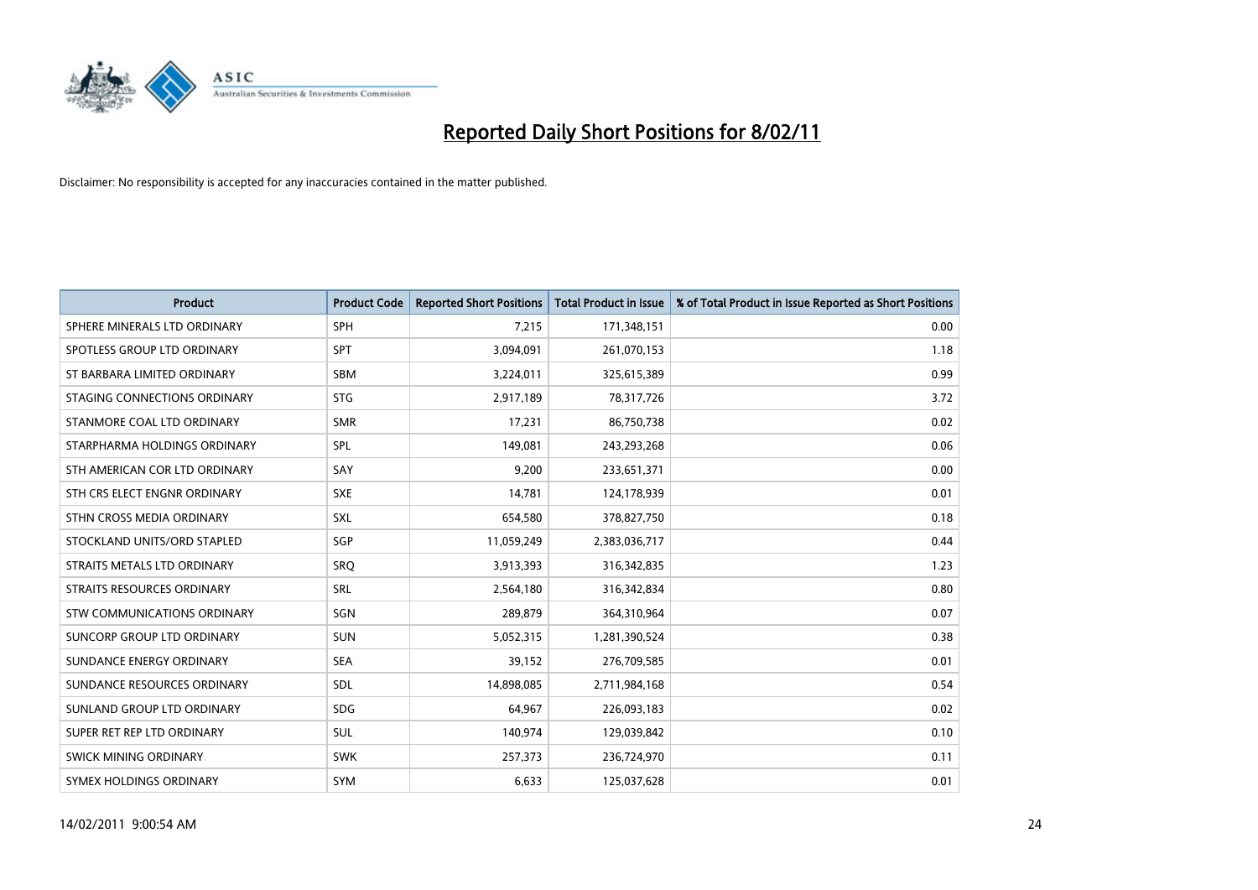

| <b>Product</b>                | <b>Product Code</b> | <b>Reported Short Positions</b> | <b>Total Product in Issue</b> | % of Total Product in Issue Reported as Short Positions |
|-------------------------------|---------------------|---------------------------------|-------------------------------|---------------------------------------------------------|
| SPHERE MINERALS LTD ORDINARY  | <b>SPH</b>          | 7,215                           | 171,348,151                   | 0.00                                                    |
| SPOTLESS GROUP LTD ORDINARY   | <b>SPT</b>          | 3,094,091                       | 261,070,153                   | 1.18                                                    |
| ST BARBARA LIMITED ORDINARY   | <b>SBM</b>          | 3,224,011                       | 325,615,389                   | 0.99                                                    |
| STAGING CONNECTIONS ORDINARY  | <b>STG</b>          | 2,917,189                       | 78,317,726                    | 3.72                                                    |
| STANMORE COAL LTD ORDINARY    | <b>SMR</b>          | 17,231                          | 86,750,738                    | 0.02                                                    |
| STARPHARMA HOLDINGS ORDINARY  | SPL                 | 149.081                         | 243,293,268                   | 0.06                                                    |
| STH AMERICAN COR LTD ORDINARY | SAY                 | 9,200                           | 233,651,371                   | 0.00                                                    |
| STH CRS ELECT ENGNR ORDINARY  | <b>SXE</b>          | 14,781                          | 124,178,939                   | 0.01                                                    |
| STHN CROSS MEDIA ORDINARY     | <b>SXL</b>          | 654,580                         | 378,827,750                   | 0.18                                                    |
| STOCKLAND UNITS/ORD STAPLED   | SGP                 | 11,059,249                      | 2,383,036,717                 | 0.44                                                    |
| STRAITS METALS LTD ORDINARY   | SRO                 | 3,913,393                       | 316,342,835                   | 1.23                                                    |
| STRAITS RESOURCES ORDINARY    | <b>SRL</b>          | 2,564,180                       | 316,342,834                   | 0.80                                                    |
| STW COMMUNICATIONS ORDINARY   | SGN                 | 289,879                         | 364,310,964                   | 0.07                                                    |
| SUNCORP GROUP LTD ORDINARY    | <b>SUN</b>          | 5,052,315                       | 1,281,390,524                 | 0.38                                                    |
| SUNDANCE ENERGY ORDINARY      | <b>SEA</b>          | 39,152                          | 276,709,585                   | 0.01                                                    |
| SUNDANCE RESOURCES ORDINARY   | SDL                 | 14,898,085                      | 2,711,984,168                 | 0.54                                                    |
| SUNLAND GROUP LTD ORDINARY    | <b>SDG</b>          | 64,967                          | 226,093,183                   | 0.02                                                    |
| SUPER RET REP LTD ORDINARY    | SUL                 | 140,974                         | 129,039,842                   | 0.10                                                    |
| SWICK MINING ORDINARY         | <b>SWK</b>          | 257,373                         | 236,724,970                   | 0.11                                                    |
| SYMEX HOLDINGS ORDINARY       | <b>SYM</b>          | 6,633                           | 125,037,628                   | 0.01                                                    |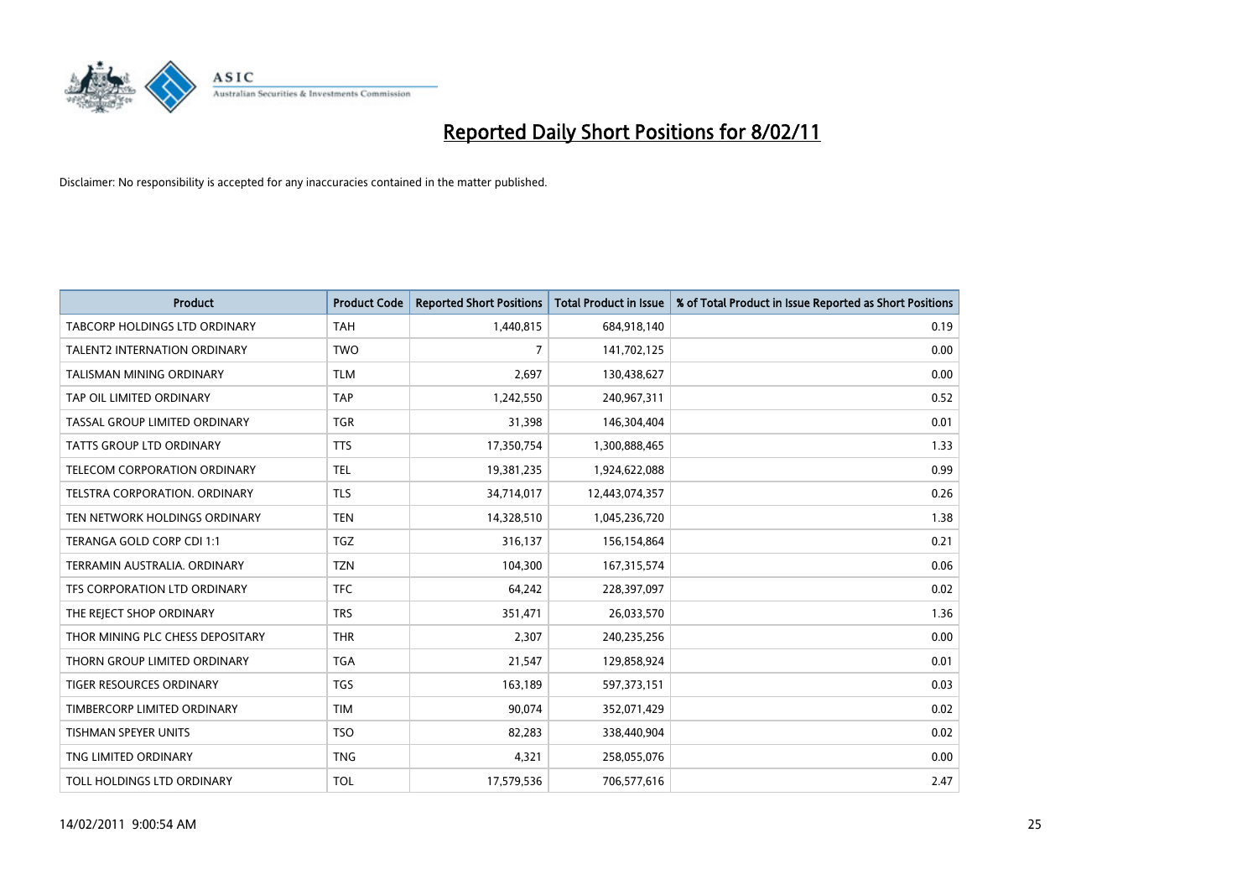

| <b>Product</b>                       | <b>Product Code</b> | <b>Reported Short Positions</b> | Total Product in Issue | % of Total Product in Issue Reported as Short Positions |
|--------------------------------------|---------------------|---------------------------------|------------------------|---------------------------------------------------------|
| <b>TABCORP HOLDINGS LTD ORDINARY</b> | <b>TAH</b>          | 1,440,815                       | 684,918,140            | 0.19                                                    |
| <b>TALENT2 INTERNATION ORDINARY</b>  | <b>TWO</b>          | 7                               | 141,702,125            | 0.00                                                    |
| TALISMAN MINING ORDINARY             | <b>TLM</b>          | 2,697                           | 130,438,627            | 0.00                                                    |
| TAP OIL LIMITED ORDINARY             | <b>TAP</b>          | 1,242,550                       | 240,967,311            | 0.52                                                    |
| TASSAL GROUP LIMITED ORDINARY        | <b>TGR</b>          | 31,398                          | 146,304,404            | 0.01                                                    |
| <b>TATTS GROUP LTD ORDINARY</b>      | <b>TTS</b>          | 17,350,754                      | 1,300,888,465          | 1.33                                                    |
| <b>TELECOM CORPORATION ORDINARY</b>  | <b>TEL</b>          | 19,381,235                      | 1,924,622,088          | 0.99                                                    |
| TELSTRA CORPORATION, ORDINARY        | <b>TLS</b>          | 34,714,017                      | 12,443,074,357         | 0.26                                                    |
| TEN NETWORK HOLDINGS ORDINARY        | <b>TEN</b>          | 14,328,510                      | 1,045,236,720          | 1.38                                                    |
| TERANGA GOLD CORP CDI 1:1            | <b>TGZ</b>          | 316,137                         | 156,154,864            | 0.21                                                    |
| TERRAMIN AUSTRALIA, ORDINARY         | <b>TZN</b>          | 104,300                         | 167,315,574            | 0.06                                                    |
| TFS CORPORATION LTD ORDINARY         | <b>TFC</b>          | 64,242                          | 228,397,097            | 0.02                                                    |
| THE REJECT SHOP ORDINARY             | <b>TRS</b>          | 351,471                         | 26,033,570             | 1.36                                                    |
| THOR MINING PLC CHESS DEPOSITARY     | <b>THR</b>          | 2.307                           | 240,235,256            | 0.00                                                    |
| THORN GROUP LIMITED ORDINARY         | <b>TGA</b>          | 21,547                          | 129,858,924            | 0.01                                                    |
| <b>TIGER RESOURCES ORDINARY</b>      | <b>TGS</b>          | 163,189                         | 597,373,151            | 0.03                                                    |
| TIMBERCORP LIMITED ORDINARY          | <b>TIM</b>          | 90,074                          | 352,071,429            | 0.02                                                    |
| TISHMAN SPEYER UNITS                 | <b>TSO</b>          | 82,283                          | 338,440,904            | 0.02                                                    |
| TNG LIMITED ORDINARY                 | <b>TNG</b>          | 4,321                           | 258,055,076            | 0.00                                                    |
| TOLL HOLDINGS LTD ORDINARY           | <b>TOL</b>          | 17,579,536                      | 706,577,616            | 2.47                                                    |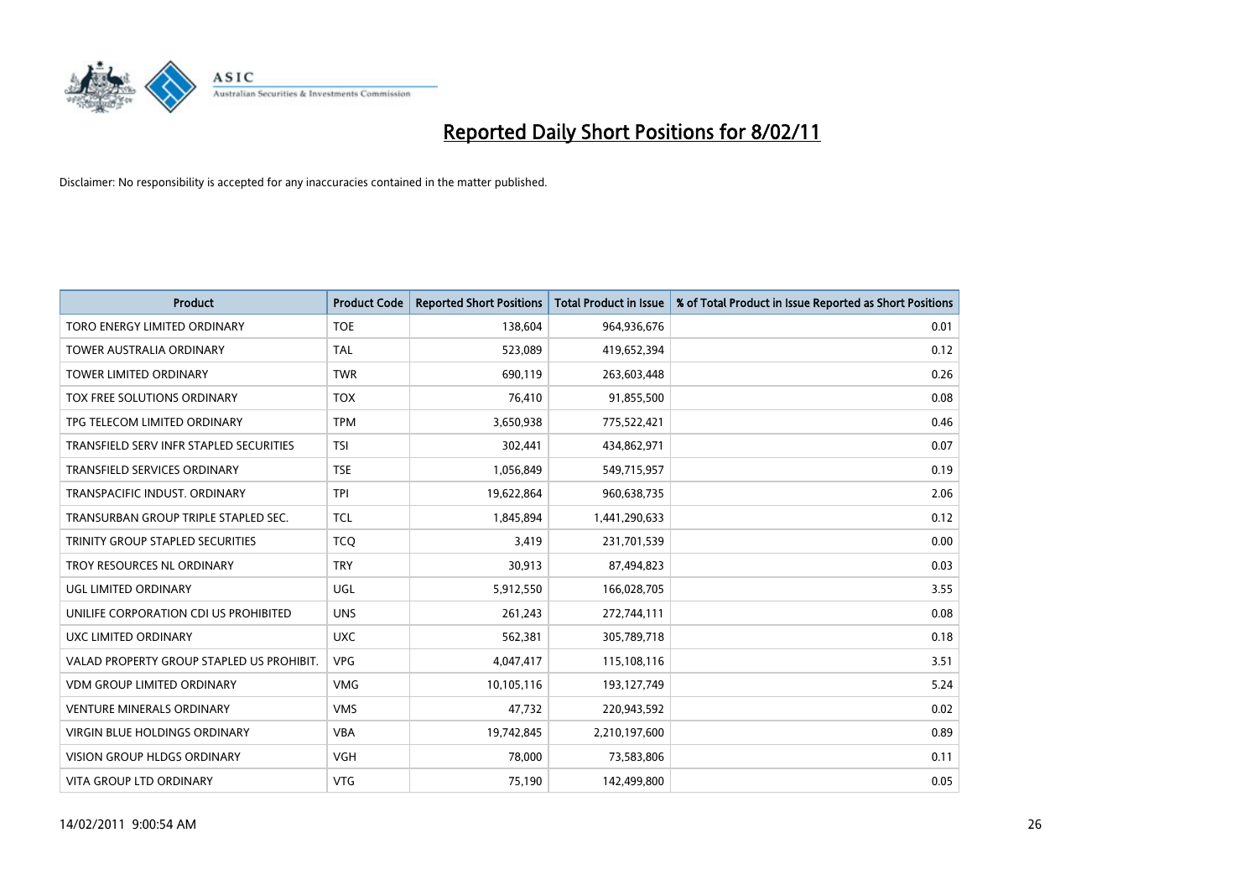

| <b>Product</b>                            | <b>Product Code</b> | <b>Reported Short Positions</b> | <b>Total Product in Issue</b> | % of Total Product in Issue Reported as Short Positions |
|-------------------------------------------|---------------------|---------------------------------|-------------------------------|---------------------------------------------------------|
| TORO ENERGY LIMITED ORDINARY              | <b>TOE</b>          | 138,604                         | 964,936,676                   | 0.01                                                    |
| TOWER AUSTRALIA ORDINARY                  | <b>TAL</b>          | 523,089                         | 419,652,394                   | 0.12                                                    |
| <b>TOWER LIMITED ORDINARY</b>             | <b>TWR</b>          | 690,119                         | 263,603,448                   | 0.26                                                    |
| TOX FREE SOLUTIONS ORDINARY               | <b>TOX</b>          | 76,410                          | 91,855,500                    | 0.08                                                    |
| TPG TELECOM LIMITED ORDINARY              | <b>TPM</b>          | 3,650,938                       | 775,522,421                   | 0.46                                                    |
| TRANSFIELD SERV INFR STAPLED SECURITIES   | <b>TSI</b>          | 302.441                         | 434,862,971                   | 0.07                                                    |
| <b>TRANSFIELD SERVICES ORDINARY</b>       | <b>TSE</b>          | 1,056,849                       | 549,715,957                   | 0.19                                                    |
| TRANSPACIFIC INDUST. ORDINARY             | <b>TPI</b>          | 19,622,864                      | 960,638,735                   | 2.06                                                    |
| TRANSURBAN GROUP TRIPLE STAPLED SEC.      | <b>TCL</b>          | 1,845,894                       | 1,441,290,633                 | 0.12                                                    |
| TRINITY GROUP STAPLED SECURITIES          | <b>TCQ</b>          | 3,419                           | 231,701,539                   | 0.00                                                    |
| TROY RESOURCES NL ORDINARY                | <b>TRY</b>          | 30,913                          | 87,494,823                    | 0.03                                                    |
| UGL LIMITED ORDINARY                      | UGL                 | 5,912,550                       | 166,028,705                   | 3.55                                                    |
| UNILIFE CORPORATION CDI US PROHIBITED     | <b>UNS</b>          | 261,243                         | 272,744,111                   | 0.08                                                    |
| <b>UXC LIMITED ORDINARY</b>               | <b>UXC</b>          | 562,381                         | 305,789,718                   | 0.18                                                    |
| VALAD PROPERTY GROUP STAPLED US PROHIBIT. | <b>VPG</b>          | 4,047,417                       | 115,108,116                   | 3.51                                                    |
| <b>VDM GROUP LIMITED ORDINARY</b>         | <b>VMG</b>          | 10,105,116                      | 193,127,749                   | 5.24                                                    |
| <b>VENTURE MINERALS ORDINARY</b>          | <b>VMS</b>          | 47,732                          | 220,943,592                   | 0.02                                                    |
| VIRGIN BLUE HOLDINGS ORDINARY             | <b>VBA</b>          | 19,742,845                      | 2,210,197,600                 | 0.89                                                    |
| <b>VISION GROUP HLDGS ORDINARY</b>        | <b>VGH</b>          | 78,000                          | 73,583,806                    | 0.11                                                    |
| VITA GROUP LTD ORDINARY                   | <b>VTG</b>          | 75,190                          | 142,499,800                   | 0.05                                                    |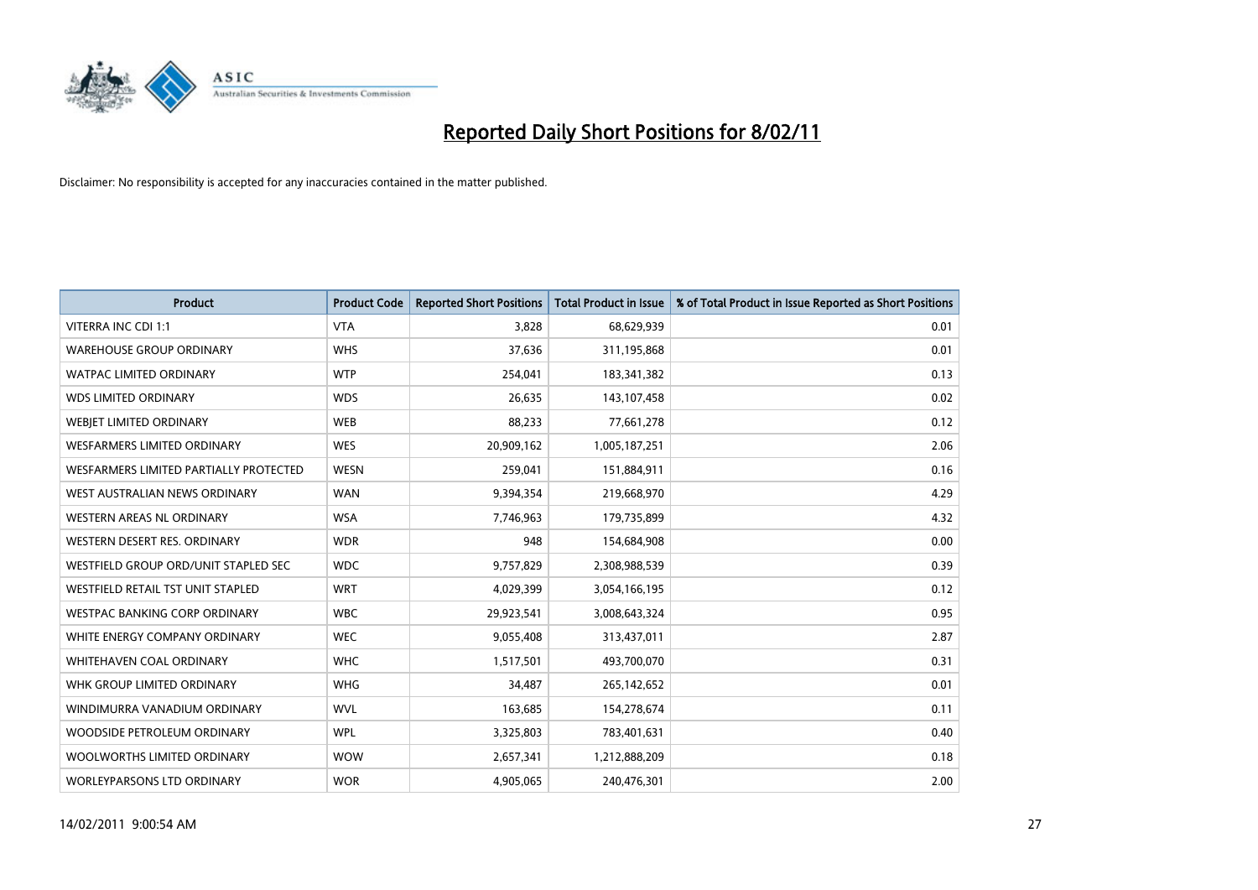

| <b>Product</b>                         | <b>Product Code</b> | <b>Reported Short Positions</b> | Total Product in Issue | % of Total Product in Issue Reported as Short Positions |
|----------------------------------------|---------------------|---------------------------------|------------------------|---------------------------------------------------------|
| VITERRA INC CDI 1:1                    | <b>VTA</b>          | 3,828                           | 68,629,939             | 0.01                                                    |
| <b>WAREHOUSE GROUP ORDINARY</b>        | <b>WHS</b>          | 37,636                          | 311,195,868            | 0.01                                                    |
| <b>WATPAC LIMITED ORDINARY</b>         | <b>WTP</b>          | 254,041                         | 183,341,382            | 0.13                                                    |
| <b>WDS LIMITED ORDINARY</b>            | <b>WDS</b>          | 26,635                          | 143,107,458            | 0.02                                                    |
| <b>WEBIET LIMITED ORDINARY</b>         | <b>WEB</b>          | 88,233                          | 77,661,278             | 0.12                                                    |
| WESFARMERS LIMITED ORDINARY            | <b>WES</b>          | 20,909,162                      | 1,005,187,251          | 2.06                                                    |
| WESFARMERS LIMITED PARTIALLY PROTECTED | <b>WESN</b>         | 259,041                         | 151,884,911            | 0.16                                                    |
| WEST AUSTRALIAN NEWS ORDINARY          | <b>WAN</b>          | 9,394,354                       | 219,668,970            | 4.29                                                    |
| WESTERN AREAS NL ORDINARY              | <b>WSA</b>          | 7,746,963                       | 179,735,899            | 4.32                                                    |
| WESTERN DESERT RES. ORDINARY           | <b>WDR</b>          | 948                             | 154,684,908            | 0.00                                                    |
| WESTFIELD GROUP ORD/UNIT STAPLED SEC   | <b>WDC</b>          | 9,757,829                       | 2,308,988,539          | 0.39                                                    |
| WESTFIELD RETAIL TST UNIT STAPLED      | <b>WRT</b>          | 4,029,399                       | 3,054,166,195          | 0.12                                                    |
| <b>WESTPAC BANKING CORP ORDINARY</b>   | <b>WBC</b>          | 29,923,541                      | 3,008,643,324          | 0.95                                                    |
| WHITE ENERGY COMPANY ORDINARY          | <b>WEC</b>          | 9,055,408                       | 313,437,011            | 2.87                                                    |
| <b>WHITEHAVEN COAL ORDINARY</b>        | <b>WHC</b>          | 1,517,501                       | 493,700,070            | 0.31                                                    |
| WHK GROUP LIMITED ORDINARY             | <b>WHG</b>          | 34.487                          | 265,142,652            | 0.01                                                    |
| WINDIMURRA VANADIUM ORDINARY           | <b>WVL</b>          | 163,685                         | 154,278,674            | 0.11                                                    |
| WOODSIDE PETROLEUM ORDINARY            | <b>WPL</b>          | 3,325,803                       | 783,401,631            | 0.40                                                    |
| WOOLWORTHS LIMITED ORDINARY            | <b>WOW</b>          | 2,657,341                       | 1,212,888,209          | 0.18                                                    |
| <b>WORLEYPARSONS LTD ORDINARY</b>      | <b>WOR</b>          | 4,905,065                       | 240,476,301            | 2.00                                                    |